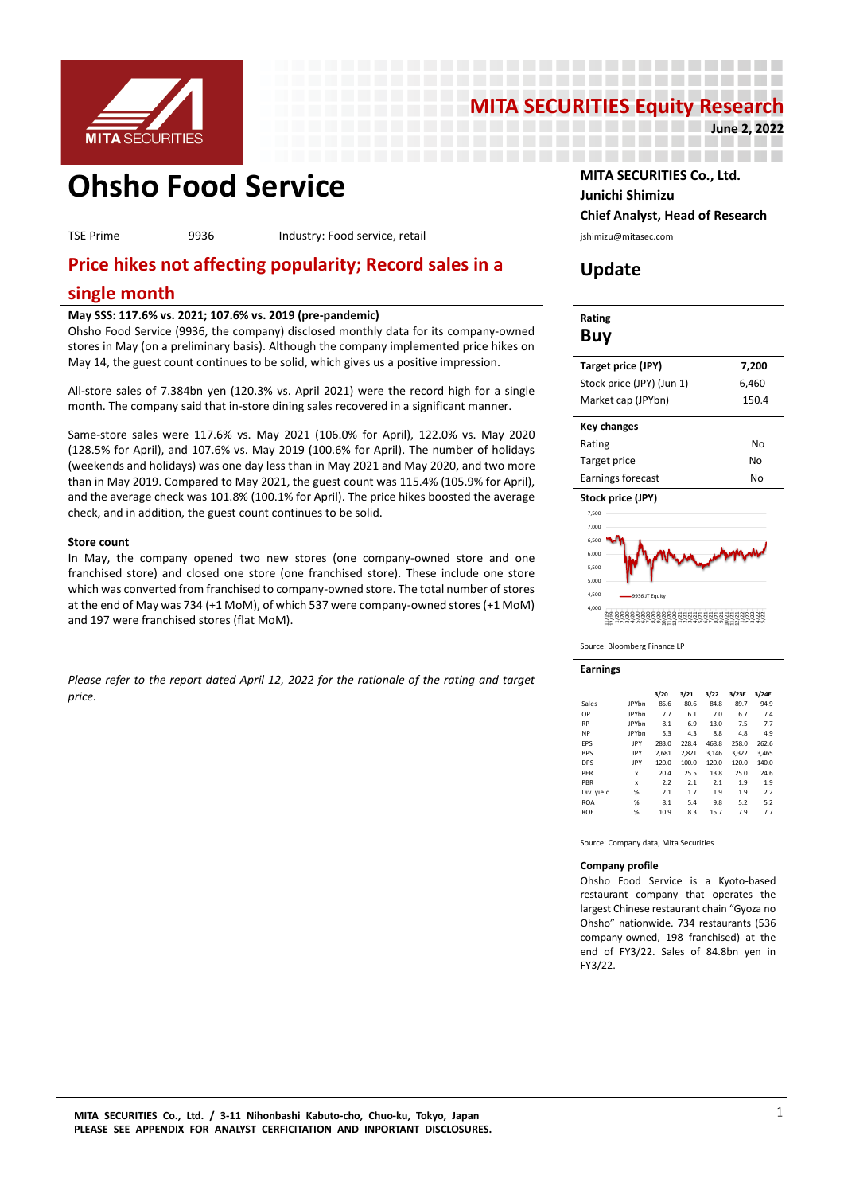

# **MITA SECURITIES Equity Research June 2, 2022**

----------------------

----------------

------------------

-------------------

**Ohsho Food Service MITA SECURITIES Co., Ltd.** 

TSE Prime 9936 Industry: Food service, retail interventional physiology is interventiasec.com

# **Price hikes not affecting popularity; Record sales in a**

# **single month**

#### **May SSS: 117.6% vs. 2021; 107.6% vs. 2019 (pre-pandemic)**

Ohsho Food Service (9936, the company) disclosed monthly data for its company-owned stores in May (on a preliminary basis). Although the company implemented price hikes on May 14, the guest count continues to be solid, which gives us a positive impression.

All-store sales of 7.384bn yen (120.3% vs. April 2021) were the record high for a single month. The company said that in-store dining sales recovered in a significant manner.

Same-store sales were 117.6% vs. May 2021 (106.0% for April), 122.0% vs. May 2020 (128.5% for April), and 107.6% vs. May 2019 (100.6% for April). The number of holidays (weekends and holidays) was one day less than in May 2021 and May 2020, and two more than in May 2019. Compared to May 2021, the guest count was 115.4% (105.9% for April), and the average check was 101.8% (100.1% for April). The price hikes boosted the average check, and in addition, the guest count continues to be solid.

#### **Store count**

In May, the company opened two new stores (one company-owned store and one franchised store) and closed one store (one franchised store). These include one store which was converted from franchised to company-owned store. The total number of stores at the end of May was 734 (+1 MoM), of which 537 were company-owned stores (+1 MoM) and 197 were franchised stores (flat MoM).

*Please refer to the report dated April 12, 2022 for the rationale of the rating and target price.* 

# **Junichi Shimizu Chief Analyst, Head of Research**

# **Update**

| Rating<br>Buy             |       |
|---------------------------|-------|
| Target price (JPY)        | 7,200 |
| Stock price (JPY) (Jun 1) | 6,460 |
| Market cap (JPYbn)        | 150.4 |
| Key changes               |       |
| Rating                    | No    |
| Target price              | No    |
| Earnings forecast         | No    |
| Stock price (JPY)         |       |
| 7.500                     |       |
| 7,000                     |       |
| 6,500                     |       |
| 6.000                     |       |
| 5.500                     |       |



9936 JT Equity

Source: Bloomberg Finance LP

**Earnings**

4,000 4,500 5,000

|            |              | 3/20  | 3/21  | 3/22  | 3/23E | 3/24E |
|------------|--------------|-------|-------|-------|-------|-------|
| Sales      | <b>JPYbn</b> | 85.6  | 80.6  | 84.8  | 89.7  | 94.9  |
| OP         | <b>IPYbn</b> | 7.7   | 6.1   | 7.0   | 6.7   | 7.4   |
| <b>RP</b>  | <b>JPYbn</b> | 8.1   | 6.9   | 13.0  | 7.5   | 7.7   |
| <b>NP</b>  | <b>JPYbn</b> | 5.3   | 4.3   | 8.8   | 4.8   | 4.9   |
| EPS        | IPY          | 283.0 | 228.4 | 468.8 | 258.0 | 262.6 |
| <b>BPS</b> | IPY          | 2.681 | 2.821 | 3.146 | 3.322 | 3.465 |
| <b>DPS</b> | JPY          | 120.0 | 100.0 | 120.0 | 120.0 | 140.0 |
| PER        | x            | 20.4  | 25.5  | 13.8  | 25.0  | 24.6  |
| PBR        | x            | 2.2   | 2.1   | 2.1   | 1.9   | 1.9   |
| Div. yield | %            | 2.1   | 1.7   | 1.9   | 1.9   | 2.2   |
| <b>ROA</b> | %            | 8.1   | 5.4   | 9.8   | 5.2   | 5.2   |
| <b>ROE</b> | %            | 10.9  | 8.3   | 15.7  | 7.9   | 7.7   |

11/21 12/21 1/22 2/22<br>2/22<br>4/22 4/22 5/22

Source: Company data, Mita Securities

#### **Company profile**

Ohsho Food Service is a Kyoto-based restaurant company that operates the largest Chinese restaurant chain "Gyoza no Ohsho" nationwide. 734 restaurants (536 company-owned, 198 franchised) at the end of FY3/22. Sales of 84.8bn yen in FY3/22.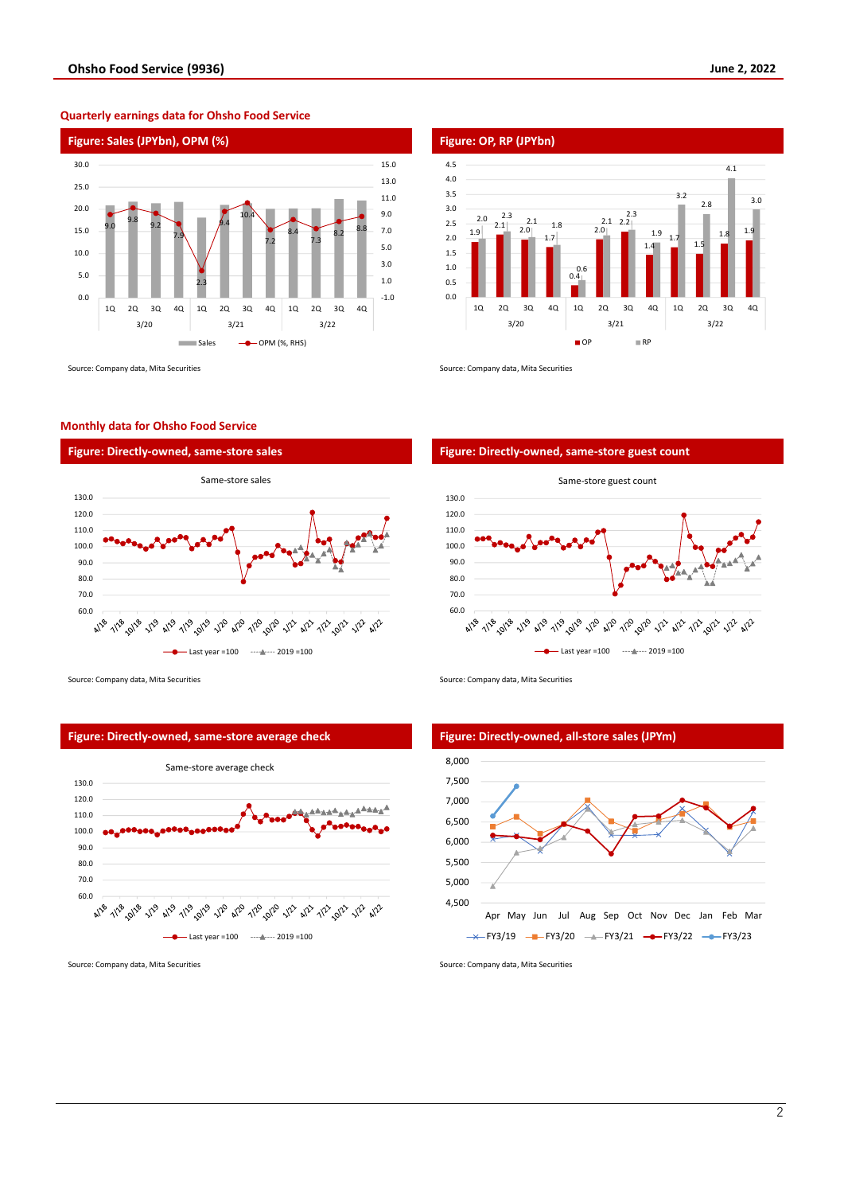

**Quarterly earnings data for Ohsho Food Service**

#### **Monthly data for Ohsho Food Service**



1.9  $2.1 \over 2.0$ 1.7 0.4  $2.0$ 2.2 2.1 1.4 1.7 1.5  $1.8$  1.9  $2.0$   $2.3$  $-1.8$ 0.6 2.3 1.9 3.2 2.8 4.1 3.0 0.0 0.5 1.0 1.5 2.0 2.5 3.0 3.5 4.0 4.5 1Q 2Q 3Q 4Q 1Q 2Q 3Q 4Q 1Q 2Q 3Q 4Q 3/20 3/21 3/22  $\blacksquare$  OP  $\blacksquare$  RP

Source: Company data, Mita Securities Source: Company data, Mita Securities Source: Company data, Mita Securities



Source: Company data, Mita Securities Source: Company data, Mita Securities Source: Company data, Mita Securities



**Figure: Directly-owned, same-store average check Figure: Directly-owned, all-store sales (JPYm)** 



Source: Company data, Mita Securities Source: Company data, Mita Securities Source: Company data, Mita Securities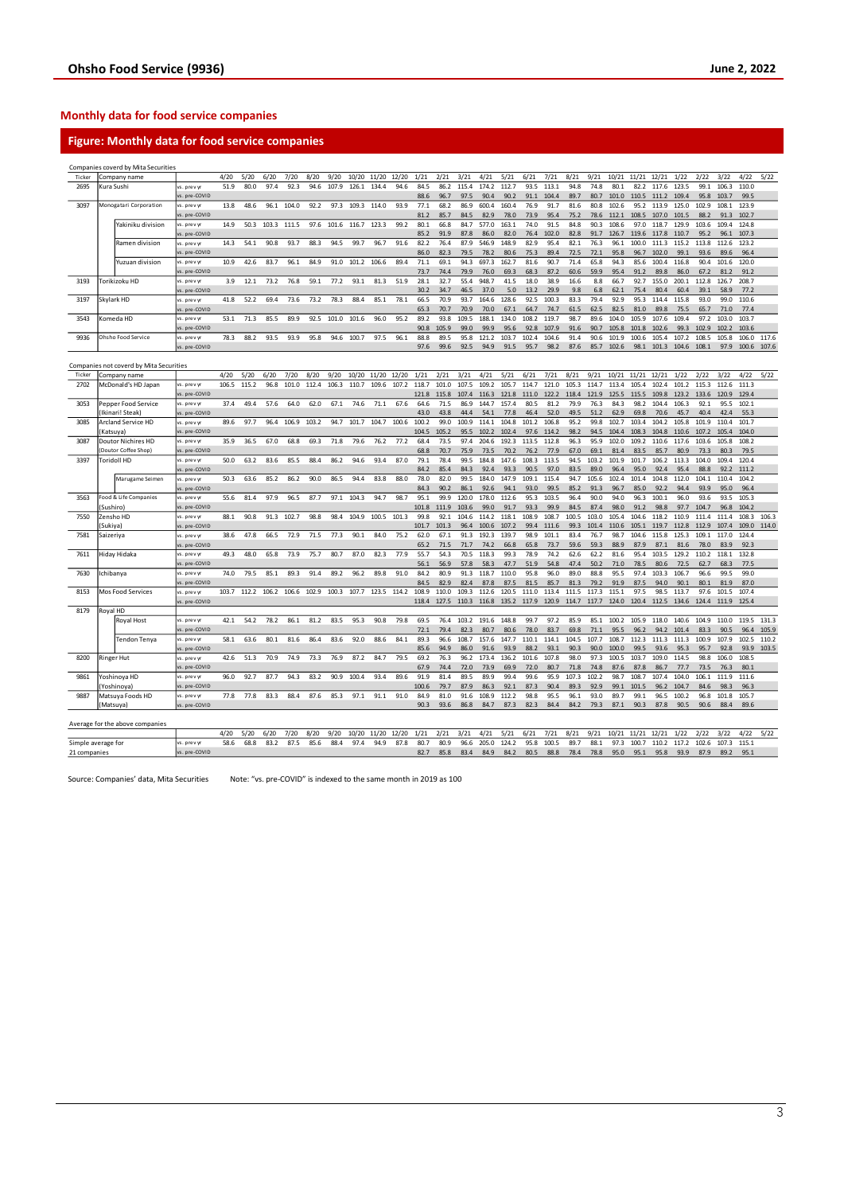### **Monthly data for food service companies**

### **Figure: Monthly data for food service companies**

|                    |           | Companies coverd by Mita Securities     |                            |       |       |       |       |       |       |       |       |       |               |               |                |               |               |               |               |               |               |               |               |               |               |                |               |               |       |
|--------------------|-----------|-----------------------------------------|----------------------------|-------|-------|-------|-------|-------|-------|-------|-------|-------|---------------|---------------|----------------|---------------|---------------|---------------|---------------|---------------|---------------|---------------|---------------|---------------|---------------|----------------|---------------|---------------|-------|
| Ticker             |           | Company name                            |                            | 4/20  | 5/20  | 6/20  | 7/20  | 8/20  | 9/20  | 10/20 | 11/20 | 12/20 | 1/21          | 2/21          | 3/21           | 4/21          | 5/21          | 6/21          | 7/21          | 8/21          | 9/21          | 10/21         | 11/21         | 12/21         | 1/22          | 2/22           | 3/22          | 4/22          | 5/22  |
| 2695               |           | Kura Sushi                              | s. prev yr                 | 51.9  | 80.0  | 97.4  | 92.3  | 94.6  | 107.9 | 126.1 | 134.4 | 94.6  | 84.5          | 86.2          | 115.4          | 174.2         | 112.7         | 93.5          | 113.1         | 94.8          | 74.8          | 80.1          | 82.2          | 117.6         | 123.5         | 99.1           | 106.3         | 110.0         |       |
|                    |           |                                         | s. pre-COVID               |       |       |       |       |       |       |       |       |       | 88.6          | 96.7          | 97.5           | 90.4          | 90.2          | 91.1          | 104.4         | 89.7          | 80.7          | 101.0         | 110.5         | 111.2         | 109.4         | 95.8           | 103.7         | 99.5          |       |
| 3097               |           | Monogatari Corporation                  | s. prev yr                 | 13.8  | 48.6  | 96.1  | 104.0 | 92.2  | 97.3  | 109.3 | 114.0 | 93.9  | 77.1          | 68.2          | 86.9           | 600.4         | 160.4         | 76.9          | 91.7          | 81.6          | 80.8          | 102.6         | 95.2          | 113.9         | 125.0         | 102.9          | 108.1         | 123.9         |       |
|                    |           |                                         | s. pre-COVID               |       |       |       |       |       |       |       |       |       | 81.2          | 85.7          | 84.5           | 82.9          | 78.0          | 73.9          | 95.4          | 75.2          | 78.6          | 112.1         | 108.5         | 107.0         | 101.5         | 88.2           | 91.3          | 102.7         |       |
|                    |           | Yakiniku division                       | s. prev y                  | 14.9  | 50.3  | 103.3 | 111.5 | 97.6  | 101.6 | 116.7 | 123.3 | 99.2  | 80.1          | 66.8          | 84.7           | 577.0         | 163.1         | 74.0          | 91.5          | 84.8          | 90.3          | 108.6         | 97.0          | 118.7         | 129.9         | 103.6          | 109.4         | 124.8         |       |
|                    |           |                                         | s. pre-COVID               |       |       |       |       |       |       |       |       |       | 85.2          | 91.9          | 87.8           | 86.0          | 82.0          | 76.4          | 102.0         | 82.8          | 91.7          | 126.7         | 119.6         | 117.8         | 110.7         | 95.2           | 96.1          | 107.3         |       |
|                    |           | Ramen division                          | vs. prev y                 | 14.3  | 54.1  | 90.8  | 93.7  | 88.3  | 94.5  | 99.7  | 96.7  | 91.6  | 82.2          | 76.4          | 87.9           | 546.9         | 148.9         | 82.9          | 95.4          | 82.1          | 76.3          | 96.1          | 100.0         | 111.3         | 115.2         | 113.8          | 112.6         | 123.2         |       |
|                    |           |                                         | s. pre-COVID               |       |       |       |       |       |       |       |       |       | 86.0          | 82.3          | 79.5           | 78.2          | 80.6          | 75.3          | 89.4          | 72.5          | 72.1          | 95.8          | 96.7          | 102.0         | 99.1          | 93.6           | 89.6          | 96.4          |       |
|                    |           | Yuzuan division                         | s. prev y                  | 10.9  | 42.6  | 83.7  | 96.1  | 84.9  | 91.0  | 101.2 | 106.6 | 89.4  | 71.1          | 69.1          | 94.3           | 697.3         | 162.7         | 81.6          | 90.7          | 71.4          | 65.8          | 94.3          | 85.6          | 100.4         | 116.8         | 90.4           | 101.6         | 120.0         |       |
|                    |           |                                         | s. pre-COVID               |       |       |       |       |       |       |       |       |       | 73.7          | 74.4          | 79.9           | 76.0          | 69.3          | 68.3          | 87.2          | 60.6          | 59.9          | 95.4          | 91.2          | 89.8          | 86.0          | 67.2           | 81.2          | 91.2          |       |
| 3193               |           | Torikizoku HD                           | vs. prev yr                | 3.9   | 12.1  | 73.2  | 76.8  | 59.1  | 77.2  | 93.1  | 81.3  | 51.9  | 28.1          | 32.7          | 55.4           | 948.7         | 41.5          | 18.0          | 38.9          | 16.6          | 8.8           | 66.7          | 92.7          | 155.0         | 200.1         | 112.8          | 126.7         | 208.7         |       |
|                    |           |                                         | s. pre-COVID               |       |       |       |       |       |       |       |       |       | 30.2          | 34.7          | 46.5           | 37.0          | 5.0           | 13.2          | 29.9          | 9.8           | 6.8           | 62.1          | 75.4          | 80.4          | 60.4          | 39.1           | 58.9          | 77.2          |       |
| 3197<br>Skylark HD |           |                                         | s. prev y                  | 41.8  | 52.2  | 69.4  | 73.6  | 73.2  | 78.3  | 88.4  | 85.1  | 78.1  | 66.5          | 70.9          | 93.7           | 164.6         | 128.6         | 92.5          | 100.3         | 83.3          | 79.4          | 92.9          | 95.3          | 114.4         | 115.8         | 93.0           | 99.0          | 110.6         |       |
|                    |           |                                         | s. pre-COVID               |       |       |       |       |       |       |       |       |       | 65.3          | 70.7          | 70.9           | 70.0          | 67.1          | 64.7          | 74.7          | 61.5          | 62.5          | 82.5          | 81.0          | 89.8          | 75.5          | 65.7           | 71.0          | 77.4          |       |
| 3543               |           | Comeda HD                               | s, prev v                  | 53.1  | 71.3  | 85.5  | 89.9  | 92.5  | 101.0 | 101.6 | 96.0  | 95.2  | 89.2          | 93.8          | 109.5          | 188.1         | 134.0         | 108.2         | 119.7         | 98.7          | 89.6          | 104.0         | 105.9         | 107.6         | 109.4         | 97.2           | 103.0         | 103.7         |       |
|                    |           |                                         | s. pre-COVID               |       |       |       |       |       |       |       |       |       | 90.8          | 105.9         | 99.0           | 99.9          | 95.6          | 92.8          | 107.9         | 91.6          | 90.7          | 105.8         | 101.8         | 102.6         | 99.3          | 102.9          | 102.2         | 103.6         |       |
| 9936               |           | Ohsho Food Service                      | vs. prev y                 | 78.3  | 88.2  | 93.5  | 93.9  | 95.8  | 94.6  | 100.7 | 97.5  | 96.1  | 88.8          | 89.5          | 95.8           | 121.2         | 103.7         | 102.4         | 104.6         | 91.4          | 90.6          | 101.9         | 100.6         | 105.4         | 107.2         | 108.5          | 105.8         | 106.0         | 117.6 |
|                    |           |                                         | vs. pre-COVID              |       |       |       |       |       |       |       |       |       | 97.6          | 99.6          | 92.5           | 94.9          | 91.5          | 95.7          | 98.2          | 87.6          | 85.7          | 102.6         | 98.1          | 101.3         | 104.6         | 108.1          | 97.9          | 100.6         | 107.6 |
|                    |           |                                         |                            |       |       |       |       |       |       |       |       |       |               |               |                |               |               |               |               |               |               |               |               |               |               |                |               |               |       |
|                    |           | Companies not coverd by Mita Securities |                            |       |       |       |       |       |       |       |       |       |               |               |                |               |               |               |               |               |               |               |               |               |               |                |               |               |       |
| Ticker             |           | Company name                            |                            | 4/20  | 5/20  | 6/20  | 7/20  | 8/20  | 9/20  | 10/20 | 11/20 | 12/20 | 1/21          | 2/21          | 3/21           | 4/21          | 5/21          | 6/21          | 7/21          | 8/21          | 9/21          | 10/21         | 11/21         | 12/21         | 1/22          | 2/22           | 3/22          | 4/22          | 5/22  |
| 2702               |           | McDonald's HD Japan                     | s. prev yr                 | 106.5 | 115.2 | 96.8  | 101.0 | 112.4 | 106.3 | 110.7 | 109.6 | 107.2 | 118.7         | 101.0         | 107.5          | 109.2         | 105.7         | 114.7         | 121.0         | 105.3         | 114.7         | 113.4         | 105.4         | 102.4         | 101.2         | 115.3          | 112.6         | 111.3         |       |
|                    |           |                                         | s. pre-COVID               |       |       |       |       |       |       |       |       |       | 121.8         | 115.8         | 107.4          | 116.3         | 121.8         | 111.0         | 122.2         | 118.4         | 121.9         | 125.5         | 115.5         | 109.8         | 123.2         | 133.6          | 120.9         | 129.4         |       |
| 3053               |           | Pepper Food Service                     | s. prev vr                 | 37.4  | 49.4  | 57.6  | 64.0  | 62.0  | 67.1  | 74.6  | 71.1  | 67.6  | 64.6          | 71.5          | 86.9           | 144.7         | 157.4         | 80.5          | 81.2          | 79.9          | 76.3          | 84.3          | 98.2          | 104.4         | 106.3         | 92.1           | 95.5          | 102.1         |       |
|                    |           | Ikinari! Steak)                         | vs. pre-COVID              |       |       |       |       |       |       |       |       |       | 43.0          | 43.8          | 44.4           | 54.1          | 77.8          | 46.4          | 52.0          | 49.5          | 51.2          | 62.9          | 69.8          | 70.6          | 45.7          | 40.4           | 42.4          | 55.3          |       |
| 3085               |           | Arcland Service HD                      | s. prev yr                 | 89.6  | 97.7  | 96.4  | 106.9 | 103.2 | 94.7  | 101.7 | 104.7 | 100.6 | 100.2         | 99.0          | 100.9          | 114.1         | 104.8         | 101.2         | 106.8         | 95.2          | 99.8          | 102.7         | 103.4         | 104.2         | 105.8         | 101.9          | 110.4         | 101.7         |       |
|                    |           | Katsuya)                                | s. pre-COVID               |       |       |       |       |       |       |       |       |       | 104.5         | 105.2         | 95.5           | 102.2         | 102.4         | 97.6          | 114.2         | 98.2          | 94.5          | 104.4         | 108.3         | 104.8         | 110.6         | 107.2          | 105.4         | 104.0         |       |
| 3087               |           | Doutor Nichires HD                      | s. prev vr                 | 35.9  | 36.5  | 67.0  | 68.8  | 69.3  | 71.8  | 79.6  | 76.2  | 77.2  | 68.4          | 73.5          | 97.4           | 204.6         | 192.3         | 113.5         | 112.8         | 96.3          | 95.9          | 102.0         | 109.2         | 110.6         | 117.6         | 103.6          | 105.8         | 108.2         |       |
|                    |           | Doutor Coffee Shop                      | s. pre-COVID               |       |       |       |       |       |       |       |       |       | 68.8          | 70.7          | 75.9           | 73.5          | 70.2          | 76.2          | 77.9          | 67.0          | 69.1          | 81.4          | 83.5          | 85.7          | 80.9          | 73.3           | 80.3          | 79.5          |       |
| 3397               |           | Toridoll HD                             | s. prev y                  | 50.0  | 63.2  | 83.6  | 85.5  | 88.4  | 86.2  | 94.6  | 93.4  | 87.0  | 79.1          | 78.4          | 99.5           | 184.8         | 147.6         | 108.3         | 113.5         | 94.5          | 103.2         | 101.9         | 101.7         | 106.2         | 113.3         | 104.0          | 109.4         | 120.4         |       |
|                    |           |                                         | s. pre-COVID               |       |       |       |       |       |       |       |       |       | 84.2          | 85.4          | 84.3           | 92.4          | 93.3          | 90.5          | 97.0          | 83.5          | 89.0          | 96.4          | 95.0          | 92.4          | 95.4          | 88.8           | 92.2          | 111.2         |       |
|                    |           | Marugame Seimen                         | s. prev vr                 | 50.3  | 63.6  | 85.2  | 86.2  | 90.0  | 86.5  | 94.4  | 83.8  | 88.0  | 78.0          | 82.0          | 99.5           | 184.0         | 147.9         | 109.1         | 115.4         | 94.7          | 105.6         | 102.4         | 101.4         | 104.8         | 112.0         | 104.1          | 110.4         | 104.2         |       |
|                    |           |                                         | s. pre-COVID               |       |       |       |       |       |       |       |       |       | 84.3          | 90.2          | 86.1           | 92.6          | 94.1          | 93.0          | 99.5          | 85.2          | 91.3          | 96.7          | 85.0          | 92.2          | 94.4          | 93.9           | 95.0          | 96.4          |       |
| 3563               |           | Food & Life Companies                   | s. prev y                  | 55.6  | 81.4  | 97.9  | 96.5  | 87.7  | 97.1  | 104.3 | 94.7  | 98.7  | 95.1          | 99.9          | 120.0          | 178.0         | 112.6         | 95.3          | 103.5         | 96.4          | 90.0          | 94.0          | 96.3          | 100.1         | 96.0          | 93.6           | 93.5          | 105.3         |       |
|                    | Sushiro)  |                                         | s. pre-COVID               |       | 90.8  | 91.3  | 102.7 | 98.8  | 98.4  | 104.9 | 100.5 | 101.3 | 101.8<br>99.8 | 111.9<br>92.1 | 103.6<br>104.6 | 99.0<br>114.2 | 91.7<br>118.1 | 93.3<br>108.9 | 99.9<br>108.7 | 84.5<br>100.5 | 87.4<br>103.0 | 98.0<br>105.4 | 91.2<br>104.6 | 98.8          | 97.7<br>110.9 | 104.7<br>111.4 | 96.8<br>111.4 | 104.2         | 106.3 |
| 7550               |           | Zensho HD                               | rs. prev y                 | 88.1  |       |       |       |       |       |       |       |       |               |               |                |               |               |               |               |               |               |               |               | 118.2         |               |                |               | 108.3         |       |
|                    | Sukiya)   |                                         | s. pre-COVID               |       |       |       |       |       |       |       |       |       | 101.7         | 101.3         | 96.4           | 100.6         | 107.2         | 99.4          | 111.6         | 99.3          | 101.4         | 110.6         | 105.1         | 119.7         | 112.8         | 112.9          | 107.4         | 109.0         | 114.0 |
| 7581               | Saizeriya |                                         | s. prev y                  | 38.6  | 47.8  | 66.5  | 72.9  | 71.5  | 77.3  | 90.1  | 84.0  | 75.2  | 62.0          | 67.1          | 91.3           | 192.3         | 139.7         | 98.9          | 101.1         | 83.4          | 76.7          | 98.7          | 104.6         | 115.8         | 125.3         | 109.1          | 117.0         | 124.4         |       |
| 7611               |           |                                         | s. pre-COVID<br>s. prev vr | 49.3  | 48.0  | 65.8  | 73.9  | 75.7  | 80.7  | 87.0  | 82.3  | 77.9  | 65.2<br>55.7  | 71.5<br>54.3  | 71.7<br>70.5   | 74.2<br>118.3 | 66.8<br>99.3  | 65.8<br>78.9  | 73.7<br>74.2  | 59.6<br>62.6  | 59.3<br>62.2  | 88.9<br>81.6  | 87.9<br>95.4  | 87.1<br>103.5 | 81.6<br>129.2 | 78.0<br>110.2  | 83.9<br>118.1 | 92.3<br>132.8 |       |
|                    |           | Hiday Hidaka                            |                            |       |       |       |       |       |       |       |       |       |               |               |                |               | 47.7          | 51.9          | 54.8          | 47.4          | 50.2          |               |               |               |               |                |               |               |       |
| 7630               |           |                                         | vs. pre-COVID<br>s. prev y | 74.0  | 79.5  | 85.1  | 89.3  | 91.4  | 89.2  | 96.2  | 89.8  | 91.0  | 56.1<br>84.2  | 56.9<br>80.9  | 57.8<br>91.3   | 58.3<br>118.7 | 110.0         | 95.8          | 96.0          | 89.0          | 88.8          | 71.0<br>95.5  | 78.5<br>97.4  | 80.6<br>103.3 | 72.5<br>106.7 | 62.7<br>96.6   | 68.3<br>99.5  | 77.5<br>99.0  |       |
|                    | ichibanya |                                         |                            |       |       |       |       |       |       |       |       |       |               |               |                |               |               |               |               |               |               |               |               |               |               |                |               | 87.0          |       |
| 8153               |           | Mos Food Services                       | s. pre-COVID<br>/s. prev v | 103.7 | 112.2 | 106.2 | 106.6 | 102.9 | 100.3 | 107.7 | 123.5 | 114.2 | 84.5<br>108.9 | 82.9<br>110.0 | 82.4<br>109.3  | 87.8<br>112.6 | 87.5<br>120.5 | 81.5<br>111.0 | 85.7<br>113.4 | 81.3<br>111.5 | 79.2<br>117.3 | 91.9<br>115.1 | 87.5<br>97.5  | 94.0<br>98.5  | 90.1<br>113.7 | 80.1<br>97.6   | 81.9<br>101.5 | 107.4         |       |
|                    |           |                                         | s. pre-COVID               |       |       |       |       |       |       |       |       |       | 118.4         | 127.5         | 110.3          | 116.8         | 135.2         | 117.9         | 120.9         | 114.7         | 117.7         | 124.0         | 120.4         | 112.5         | 134.6         | 124.4          | 111.9         | 125.4         |       |
| 8179               | Royal HD  |                                         |                            |       |       |       |       |       |       |       |       |       |               |               |                |               |               |               |               |               |               |               |               |               |               |                |               |               |       |
|                    |           | Royal Host                              |                            | 42.1  | 54.2  | 78.2  | 86.1  | 81.2  | 83.5  | 95.3  | 90.8  | 79.8  | 69.5          | 76.4          | 103.2          | 191.6         | 148.8         | 99.7          | 97.2          | 85.9          | 85.1          | 100.2         | 105.9         | 118.0         | 140.6         | 104.9          | 110.0         | 119.5         | 131.3 |
|                    |           |                                         | s. prev y<br>s. pre-COVID  |       |       |       |       |       |       |       |       |       | 72.1          | 79.4          | 82.3           | 80.7          | 80.6          | 78.0          | 83.7          | 69.8          | 71.1          | 95.5          | 96.2          | 94.2          | 101.4         | 83.3           | 90.5          | 96.4          | 105.9 |
|                    |           | Tendon Tenya                            | s. prev vr                 | 58.1  | 63.6  | 80.1  | 81.6  | 86.4  | 83.6  | 92.0  | 88.6  | 84.1  | 89.3          | 96.6          | 108.7          | 157.6         | 147.7         | 110.1         | 114.1         | 104.5         | 107.7         | 108.7         | 112.3         | 111.3         | 111.3         | 100.9          | 107.9         | 102.5         | 110.2 |
|                    |           |                                         | s. pre-COVID               |       |       |       |       |       |       |       |       |       | 85.6          | 94.9          | 86.0           | 91.6          | 93.9          | 88.2          | 93.1          | 90.3          | 90.0          | 100.0         | 99.5          | 93.6          | 95.3          | 95.7           | 92.8          | 93.9          | 103.5 |
| 8200               |           | Ringer Hut                              | s. prev y                  | 42.6  | 51.3  | 70.9  | 74.9  | 73.3  | 76.9  | 87.2  | 84.7  | 79.5  | 69.2          | 76.3          | 96.2           | 173.4         | 136.2         | 101.6         | 107.8         | 98.0          | 97.3          | 100.5         | 103.7         | 109.0         | 114.5         | 98.8           | 106.0         | 108.5         |       |
|                    |           |                                         | s. pre-COVID               |       |       |       |       |       |       |       |       |       | 67.9          | 74.4          | 72.0           | 73.9          | 69.9          | 72.0          | 80.7          | 71.8          | 74.8          | 87.6          | 87.8          | 86.7          | 77.7          | 73.5           | 76.3          | 80.1          |       |
| 9861               |           |                                         | s. prev vr                 | 96.0  | 92.7  | 87.7  | 94.3  | 83.2  | 90.9  | 100.4 | 93.4  | 89.6  | 91.9          | 81.4          | 89.5           | 89.9          | 99.4          | 99.6          | 95.9          | 107.3         | 102.2         | 98.7          | 108.7         | 107.4         | 104.0         | 106.1          | 111.9         | 111.6         |       |
|                    |           | Yoshinoya HD                            |                            |       |       |       |       |       |       |       |       |       |               |               |                |               | 92.1          |               |               |               |               |               | 101.5         |               |               |                |               |               |       |
|                    |           | Yoshinova                               | s. pre-COVID               |       |       |       |       |       |       |       |       |       | 100.6         | 79.7          | 87.9           | 86.3          |               | 87.3          | 90.4          | 89.3          | 92.9          | 99.1          |               | 96.2          | 104.7         | 84.6           | 98.3          | 96.3          |       |
| 9887               |           | Matsuya Foods HD                        | s. prev y                  | 77.8  | 77.8  | 83.3  | 88.4  | 87.6  | 85.3  | 97.1  | 91.1  | 91.0  | 84.9          | 81.0          | 91.6           | 108.9         | 112.2         | 98.8          | 95.5          | 96.1          | 93.0          | 89.7          | 99.1          | 96.5          | 100.2         | 96.8           | 101.8         | 105.7         |       |
|                    |           | Matsuya)                                | vs. pre-COVID              |       |       |       |       |       |       |       |       |       | 90.3          | 93.6          | 86.8           | 84.7          | 87.3          | 82.3          | 84.4          | 84.2          | 79.3          | 87.1          | 90.3          | 87.8          | 90.5          | 90.6           | 88.4          | 89.6          |       |
|                    |           |                                         |                            |       |       |       |       |       |       |       |       |       |               |               |                |               |               |               |               |               |               |               |               |               |               |                |               |               |       |
|                    |           | Average for the above companies         |                            | 4/20  | 5/20  | 6/20  | 7/20  | 8/20  | 9/20  | 10/20 | 11/20 | 12/20 | 1/21          | 2/21          | 3/21           | 4/21          | 5/21          | 6/21          | 7/21          | 8/21          | 9/21          | 10/21         | 11/21         | 12/21         | 1/22          | 2/22           | 3/22          | 4/22          | 5/22  |
| Simple average for |           |                                         | vs. prev yr                | 58.6  | 68.8  | 83.2  | 87.5  | 85.6  | 88.4  | 97.4  | 94.9  | 87.8  | 80.7          | 80.9          | 96.6           | 205.0         | 124.2         | 95.8          | 100.5         | 89.7          | 88.1          | 97.3          | 100.7         | 110.2         | 117.2         | 102.6          | 107.3         | 115.1         |       |
| 21 companies       |           |                                         | vs. pre-COVID              |       |       |       |       |       |       |       |       |       | 82.7          | 85.8          | 83.4           | 84.9          | 84.2          | 80.5          | 88.8          | 78.4          | 78.8          | 95.0          | 95.1          | 95.8          | 93.9          | 87.9           | 89.2          | 95.1          |       |
|                    |           |                                         |                            |       |       |       |       |       |       |       |       |       |               |               |                |               |               |               |               |               |               |               |               |               |               |                |               |               |       |

Source: Companies' data, Mita Securities Note: "vs. pre-COVID" is indexed to the same month in 2019 as 100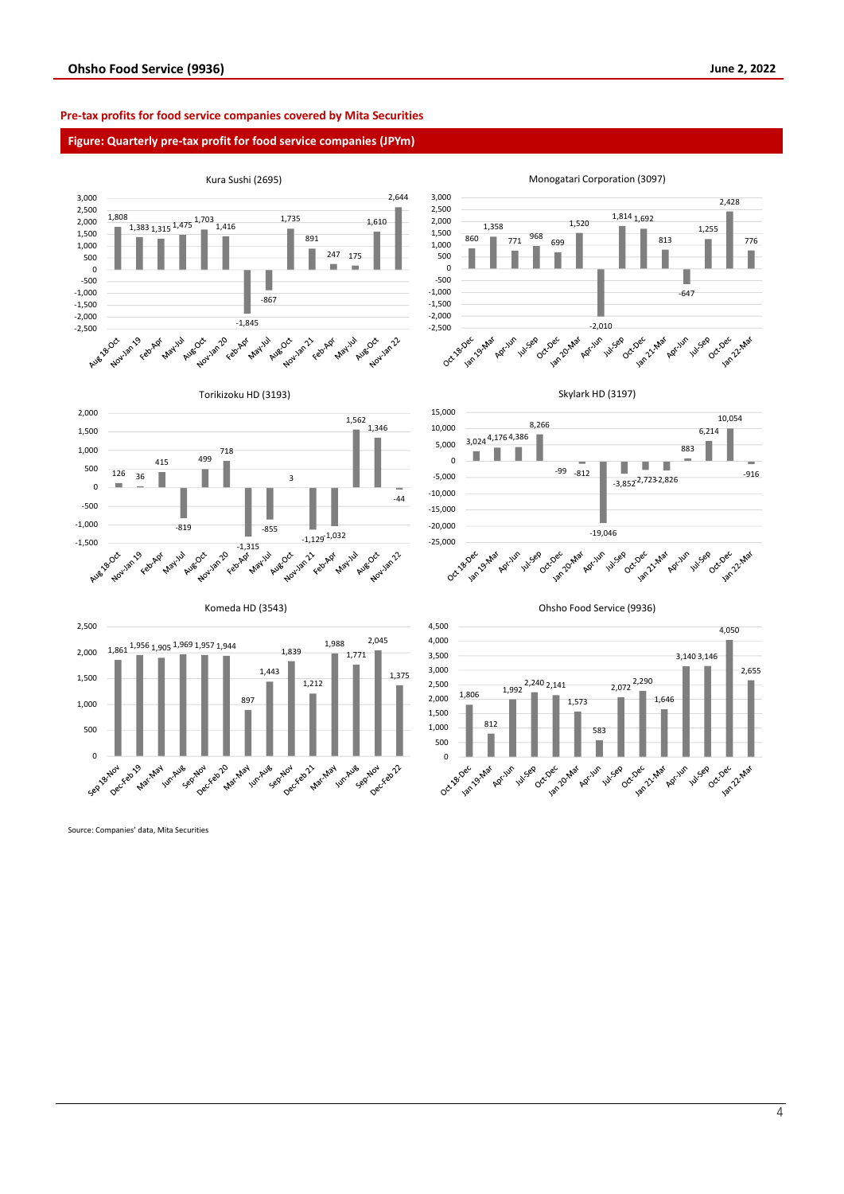#### **Pre-tax profits for food service companies covered by Mita Securities**

#### **Figure: Quarterly pre-tax profit for food service companies (JPYm)**



Source: Companies' data, Mita Securities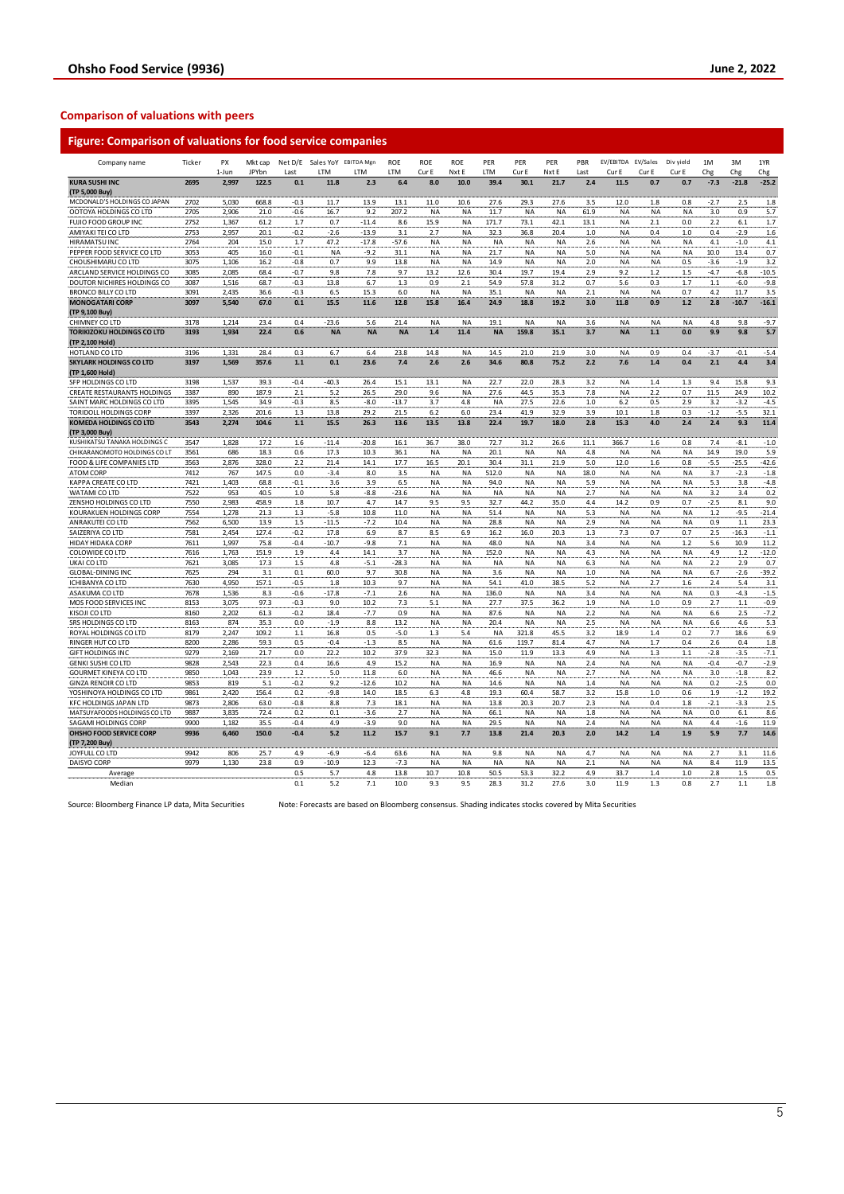### **Comparison of valuations with peers**

| JPYbn<br>LTM<br>LTM<br>LTM<br>LTM<br>Cur E<br>Nxt E<br>Cur E<br>Nxt E<br>Cur E<br>1-Jun<br>Last<br>Last<br><b>KURA SUSHI INC</b><br>2695<br>30.1<br>2,997<br>122.5<br>0.1<br>11.8<br>2.3<br>6.4<br>8.0<br>10.0<br>39.4<br>21.7<br>2.4<br>11.5<br>(TP 5,000 Buy)<br>MCDONALD'S HOLDINGS CO JAPAN<br>2702<br>5,030<br>668.8<br>$-0.3$<br>11.7<br>13.9<br>13.1<br>11.0<br>10.6<br>27.6<br>29.3<br>27.6<br>3.5<br>12.0<br>OOTOYA HOLDINGS CO LTD<br>2705<br>2,906<br>21.0<br>$-0.6$<br>16.7<br>9.2<br>207.2<br>NA<br>NA<br>11.7<br><b>NA</b><br>NA<br>61.9<br><b>NA</b><br>FUJIO FOOD GROUP INC<br>2752<br>1.7<br>0.7<br>15.9<br>73.1<br>1,367<br>61.2<br>$-11.4$<br>8.6<br>ΝA<br>171.7<br>42.1<br>13.1<br><b>NA</b><br>AMIYAKI TEI CO LTD<br>2753<br>2,957<br>$-2.6$<br>$-13.9$<br>2.7<br>32.3<br>20.1<br>$-0.2$<br>3.1<br>NA<br>36.8<br>20.4<br>1.0<br><b>NA</b><br>HIRAMATSU INC<br>204<br>15.0<br>1.7<br>47.2<br>$-17.8$<br>2764<br>-57.6<br><b>NA</b><br>ΝA<br>ΝA<br>NA<br><b>NA</b><br>2.6<br>NA<br>PEPPER FOOD SERVICE CO LTD<br>3053<br>405<br>16.0<br>$-0.1$<br><b>NA</b><br>$-9.2$<br>31.1<br><b>NA</b><br><b>NA</b><br>21.7<br><b>NA</b><br><b>NA</b><br>5.0<br><b>NA</b><br>1,106<br>CHOUSHIMARU CO LTD<br>3075<br>0.7<br>9.9<br>13.8<br>NA<br>14.9<br><b>NA</b><br>2.0<br><b>NA</b><br>16.2<br>-0.8<br>ΝA<br>NA<br>ARCLAND SERVICE HOLDINGS CO<br>3085<br>2,085<br>68.4<br>$-0.7$<br>9.8<br>7.8<br>9.7<br>13.2<br>12.6<br>30.4<br>19.7<br>19.4<br>2.9<br>9.2<br>DOUTOR NICHIRES HOLDINGS CO<br>3087<br>1,516<br>68.7<br>$-0.3$<br>13.8<br>6.7<br>1.3<br>0.9<br>2.1<br>54.9<br>57.8<br>31.2<br>0.7<br>5.6<br><b>BRONCO BILLY CO LTD</b><br>3091<br>2,435<br>36.6<br>$-0.3$<br>6.5<br>15.3<br>6.0<br><b>NA</b><br><b>NA</b><br>35.1<br><b>NA</b><br>2.1<br><b>NA</b><br><b>NA</b><br><b>MONOGATARI CORP</b><br>15.5<br>15.8<br>18.8<br>19.2<br>11.8<br>3097<br>5,540<br>67.0<br>0.1<br>11.6<br>12.8<br>16.4<br>24.9<br>3.0<br>(TP 9,100 Buy)<br>3178<br>1,214<br>21.4<br>CHIMNEY CO LTD<br>23.4<br>0.4<br>$-23.6$<br>5.6<br><b>NA</b><br>NA<br>19.1<br><b>NA</b><br><b>NA</b><br>3.6<br><b>NA</b><br><b>NA</b><br><b>NA</b><br><b>NA</b><br>159.8<br>TORIKIZOKU HOLDINGS CO LTD<br>3193<br>1,934<br>22.4<br>0.6<br><b>NA</b><br>1.4<br>11.4<br>35.1<br>3.7<br><b>NA</b><br>(TP 2,100 Hold)<br>HOTLAND CO LTD<br>3196<br>1,331<br>28.4<br>0.3<br>6.7<br>6.4<br>23.8<br>14.8<br>NA<br>14.5<br>21.0<br>21.9<br>3.0<br><b>NA</b><br><b>SKYLARK HOLDINGS CO LTD</b><br>0.1<br>7.4<br>3197<br>1,569<br>357.6<br>$1.1$<br>23.6<br>2.6<br>2.6<br>34.6<br>80.8<br>75.2<br>2.2<br>7.6<br>(TP 1,600 Hold)<br>$-40.3$<br>SFP HOLDINGS CO LTD<br>3198<br>1,537<br>$-0.4$<br>26.4<br>15.1<br>13.1<br>22.7<br>22.0<br>39.3<br><b>NA</b><br>28.3<br>3.2<br><b>NA</b><br>CREATE RESTAURANTS HOLDINGS<br>890<br>187.9<br>2.1<br>5.2<br>29.0<br><b>NA</b><br>27.6<br>44.5<br>3387<br>26.5<br>9.6<br>35.3<br>7.8<br><b>NA</b><br>27.5<br>SAINT MARC HOLDINGS CO LTD<br>1,545<br>8.5<br>$-13.7$<br>3.7<br>22.6<br>6.2<br>3395<br>34.9<br>-0.3<br>-8.0<br>4.8<br>ΝA<br>1.0<br><b>TORIDOLL HOLDINGS CORP</b><br>3397<br>2.326<br>201.6<br>1.3<br>13.8<br>29.2<br>21.5<br>6.2<br>6.0<br>23.4<br>41.9<br>32.9<br>3.9<br>10.1<br><b>KOMEDA HOLDINGS CO LTD</b><br>13.8<br>19.7<br>15.3<br>3543<br>2,274<br>104.6<br>$1.1$<br>15.5<br>26.3<br>13.6<br>13.5<br>22.4<br>18.0<br>2.8<br>(TP 3,000 Buy)<br>1,828<br>17.2<br>$-11.4$<br>38.0<br>72.7<br>366.7<br>KUSHIKATSU TANAKA HOLDINGS C<br>3547<br>1.6<br>$-20.8$<br>16.1<br>36.7<br>31.2<br>26.6<br>11.1<br>CHIKARANOMOTO HOLDINGS CO LT<br>3561<br>686<br>18.3<br>0.6<br>17.3<br>10.3<br>36.1<br><b>NA</b><br>20.1<br><b>NA</b><br>4.8<br><b>NA</b><br>NA<br>NA<br>FOOD & LIFE COMPANIES LTD<br>2,876<br>328.0<br>17.7<br>20.1<br>21.9<br>5.0<br>3563<br>2.2<br>21.4<br>14.1<br>16.5<br>30.4<br>31.1<br>12.0<br>3.5<br><b>ATOM CORP</b><br>7412<br>767<br>147.5<br>0.0<br>$-3.4$<br>8.0<br><b>NA</b><br>512.0<br><b>NA</b><br>18.0<br><b>NA</b><br>ΝA<br>NA<br>KAPPA CREATE CO LTD<br>7421<br>1,403<br>68.8<br>$-0.1$<br>3.6<br>3.9<br>6.5<br><b>NA</b><br><b>NA</b><br>94.0<br><b>NA</b><br><b>NA</b><br>5.9<br><b>NA</b><br>7522<br>WATAMI CO LTD<br>953<br>40.5<br>1.0<br>5.8<br>-8.8<br>$-23.6$<br><b>NA</b><br>NA<br><b>NA</b><br><b>NA</b><br>NA<br>2.7<br><b>NA</b><br>ZENSHO HOLDINGS CO LTD<br>7550<br>2,983<br>458.9<br>1.8<br>10.7<br>4.7<br>14.7<br>9.5<br>9.5<br>32.7<br>44.2<br>35.0<br>4.4<br>14.2<br>7554<br>$-5.8$<br><b>NA</b><br>5.3<br>KOURAKUEN HOLDINGS CORP<br>1,278<br>21.3<br>1.3<br>10.8<br>11.0<br>ΝA<br>51.4<br><b>NA</b><br>NA<br><b>NA</b><br>ANRAKUTEI CO LTD<br>7562<br>6,500<br>13.9<br>1.5<br>$-11.5$<br>$-7.2$<br>10.4<br><b>NA</b><br>28.8<br><b>NA</b><br>2.9<br><b>NA</b><br>NA<br>NA<br>SAIZERIYA CO LTD<br>7581<br>2,454<br>127.4<br>$-0.2$<br>17.8<br>8.7<br>8.5<br>20.3<br>1.3<br>6.9<br>6.9<br>16.2<br>16.0<br>7.3<br>7.1<br>HIDAY HIDAKA CORP<br>7611<br>1,997<br>75.8<br>$-0.4$<br>$-10.7$<br><b>NA</b><br>48.0<br>3.4<br><b>NA</b><br>-9.8<br>ΝA<br>NA<br>ΝA<br>COLOWIDE CO LTD<br>7616<br>1.763<br>151.9<br>1.9<br>4.4<br>14.1<br>3.7<br><b>NA</b><br><b>NA</b><br>152.0<br><b>NA</b><br><b>NA</b><br>4.3<br><b>NA</b><br>UKAI CO LTD<br>7621<br>1.5<br>4.8<br>$-5.1$<br><b>NA</b><br>3,085<br>17.3<br>$-28.3$<br>ΝA<br><b>NA</b><br><b>NA</b><br>NA<br>6.3<br><b>NA</b><br><b>GLOBAL-DINING INC</b><br>7625<br>294<br>3.1<br>0.1<br>60.0<br>9.7<br>30.8<br><b>NA</b><br><b>NA</b><br>3.6<br><b>NA</b><br><b>NA</b><br>1.0<br><b>NA</b><br>7630<br>4,950<br>157.1<br>9.7<br><b>NA</b><br>5.2<br><b>ICHIBANYA CO LTD</b><br>$-0.5$<br>1.8<br>10.3<br>ΝA<br>54.1<br>41.0<br>38.5<br><b>NA</b><br>$-17.8$<br><b>NA</b><br><b>NA</b> | Cur E<br>0.7<br>1.8<br>NA<br>2.1<br>0.4<br>ΝA<br><b>NA</b><br>ΝA<br>1.2<br>0.3<br><b>NA</b><br>0.9<br>NA<br>1.1<br>0.9<br>1.4<br>1.4<br>2.2<br>0.5<br>1.8 | Cur E<br>0.7<br>0.8<br>NA<br>0.0<br>1.0<br>ΝA<br><b>NA</b><br>0.5<br>1.5<br>1.7<br>0.7<br>$1.2$<br>NA<br>0.0<br>0.4<br>0.4<br>1.3 | Chg<br>$-7.3$<br>$-2.7$<br>3.0<br>2.2<br>0.4<br>4.1<br>10.0<br>$-3.6$<br>$-4.7$<br>1.1<br>4.2<br>2.8<br>4.8<br>9.9<br>$-3.7$<br>2.1 | Chg<br>$-21.8$<br>2.5<br>0.9<br>6.1<br>$-2.9$<br>$-1.0$<br>13.4<br>$-1.9$<br>$-6.8$<br>$-6.0$<br>11.7<br>$-10.7$<br>9.8<br>9.8<br>$-0.1$<br>4.4 | Chg<br>$-25.2$<br>1.8<br>5.7<br>1.7<br>1.6<br>4.1<br>0.7<br>3.2<br>$-10.5$<br>$-9.8$<br>3.5<br>$-16.1$<br>$-9.7$<br>5.7<br>$-5.4$ |
|----------------------------------------------------------------------------------------------------------------------------------------------------------------------------------------------------------------------------------------------------------------------------------------------------------------------------------------------------------------------------------------------------------------------------------------------------------------------------------------------------------------------------------------------------------------------------------------------------------------------------------------------------------------------------------------------------------------------------------------------------------------------------------------------------------------------------------------------------------------------------------------------------------------------------------------------------------------------------------------------------------------------------------------------------------------------------------------------------------------------------------------------------------------------------------------------------------------------------------------------------------------------------------------------------------------------------------------------------------------------------------------------------------------------------------------------------------------------------------------------------------------------------------------------------------------------------------------------------------------------------------------------------------------------------------------------------------------------------------------------------------------------------------------------------------------------------------------------------------------------------------------------------------------------------------------------------------------------------------------------------------------------------------------------------------------------------------------------------------------------------------------------------------------------------------------------------------------------------------------------------------------------------------------------------------------------------------------------------------------------------------------------------------------------------------------------------------------------------------------------------------------------------------------------------------------------------------------------------------------------------------------------------------------------------------------------------------------------------------------------------------------------------------------------------------------------------------------------------------------------------------------------------------------------------------------------------------------------------------------------------------------------------------------------------------------------------------------------------------------------------------------------------------------------------------------------------------------------------------------------------------------------------------------------------------------------------------------------------------------------------------------------------------------------------------------------------------------------------------------------------------------------------------------------------------------------------------------------------------------------------------------------------------------------------------------------------------------------------------------------------------------------------------------------------------------------------------------------------------------------------------------------------------------------------------------------------------------------------------------------------------------------------------------------------------------------------------------------------------------------------------------------------------------------------------------------------------------------------------------------------------------------------------------------------------------------------------------------------------------------------------------------------------------------------------------------------------------------------------------------------------------------------------------------------------------------------------------------------------------------------------------------------------------------------------------------------------------------------------------------------------------------------------------------------------------------------------------------------------------------------------------------------------------------------------------------------------------------------------------------------------------------------------------------------------------------------------------------------------------------------------------------------------------------------------------------------------------------------------------------------------------------------------------------------------------------------------------------------------------------------------------------------------------------------------------------------------------------------------------------------------------------------------------------------------------------------------------------------------------------------------------------------------------------------------------------------------------|-----------------------------------------------------------------------------------------------------------------------------------------------------------|-----------------------------------------------------------------------------------------------------------------------------------|-------------------------------------------------------------------------------------------------------------------------------------|-------------------------------------------------------------------------------------------------------------------------------------------------|-----------------------------------------------------------------------------------------------------------------------------------|
|                                                                                                                                                                                                                                                                                                                                                                                                                                                                                                                                                                                                                                                                                                                                                                                                                                                                                                                                                                                                                                                                                                                                                                                                                                                                                                                                                                                                                                                                                                                                                                                                                                                                                                                                                                                                                                                                                                                                                                                                                                                                                                                                                                                                                                                                                                                                                                                                                                                                                                                                                                                                                                                                                                                                                                                                                                                                                                                                                                                                                                                                                                                                                                                                                                                                                                                                                                                                                                                                                                                                                                                                                                                                                                                                                                                                                                                                                                                                                                                                                                                                                                                                                                                                                                                                                                                                                                                                                                                                                                                                                                                                                                                                                                                                                                                                                                                                                                                                                                                                                                                                                                                                                                                                                                                                                                                                                                                                                                                                                                                                                                                                                                                                                                                |                                                                                                                                                           |                                                                                                                                   |                                                                                                                                     |                                                                                                                                                 |                                                                                                                                   |
|                                                                                                                                                                                                                                                                                                                                                                                                                                                                                                                                                                                                                                                                                                                                                                                                                                                                                                                                                                                                                                                                                                                                                                                                                                                                                                                                                                                                                                                                                                                                                                                                                                                                                                                                                                                                                                                                                                                                                                                                                                                                                                                                                                                                                                                                                                                                                                                                                                                                                                                                                                                                                                                                                                                                                                                                                                                                                                                                                                                                                                                                                                                                                                                                                                                                                                                                                                                                                                                                                                                                                                                                                                                                                                                                                                                                                                                                                                                                                                                                                                                                                                                                                                                                                                                                                                                                                                                                                                                                                                                                                                                                                                                                                                                                                                                                                                                                                                                                                                                                                                                                                                                                                                                                                                                                                                                                                                                                                                                                                                                                                                                                                                                                                                                |                                                                                                                                                           |                                                                                                                                   |                                                                                                                                     |                                                                                                                                                 |                                                                                                                                   |
|                                                                                                                                                                                                                                                                                                                                                                                                                                                                                                                                                                                                                                                                                                                                                                                                                                                                                                                                                                                                                                                                                                                                                                                                                                                                                                                                                                                                                                                                                                                                                                                                                                                                                                                                                                                                                                                                                                                                                                                                                                                                                                                                                                                                                                                                                                                                                                                                                                                                                                                                                                                                                                                                                                                                                                                                                                                                                                                                                                                                                                                                                                                                                                                                                                                                                                                                                                                                                                                                                                                                                                                                                                                                                                                                                                                                                                                                                                                                                                                                                                                                                                                                                                                                                                                                                                                                                                                                                                                                                                                                                                                                                                                                                                                                                                                                                                                                                                                                                                                                                                                                                                                                                                                                                                                                                                                                                                                                                                                                                                                                                                                                                                                                                                                |                                                                                                                                                           |                                                                                                                                   |                                                                                                                                     |                                                                                                                                                 |                                                                                                                                   |
|                                                                                                                                                                                                                                                                                                                                                                                                                                                                                                                                                                                                                                                                                                                                                                                                                                                                                                                                                                                                                                                                                                                                                                                                                                                                                                                                                                                                                                                                                                                                                                                                                                                                                                                                                                                                                                                                                                                                                                                                                                                                                                                                                                                                                                                                                                                                                                                                                                                                                                                                                                                                                                                                                                                                                                                                                                                                                                                                                                                                                                                                                                                                                                                                                                                                                                                                                                                                                                                                                                                                                                                                                                                                                                                                                                                                                                                                                                                                                                                                                                                                                                                                                                                                                                                                                                                                                                                                                                                                                                                                                                                                                                                                                                                                                                                                                                                                                                                                                                                                                                                                                                                                                                                                                                                                                                                                                                                                                                                                                                                                                                                                                                                                                                                |                                                                                                                                                           |                                                                                                                                   |                                                                                                                                     |                                                                                                                                                 |                                                                                                                                   |
|                                                                                                                                                                                                                                                                                                                                                                                                                                                                                                                                                                                                                                                                                                                                                                                                                                                                                                                                                                                                                                                                                                                                                                                                                                                                                                                                                                                                                                                                                                                                                                                                                                                                                                                                                                                                                                                                                                                                                                                                                                                                                                                                                                                                                                                                                                                                                                                                                                                                                                                                                                                                                                                                                                                                                                                                                                                                                                                                                                                                                                                                                                                                                                                                                                                                                                                                                                                                                                                                                                                                                                                                                                                                                                                                                                                                                                                                                                                                                                                                                                                                                                                                                                                                                                                                                                                                                                                                                                                                                                                                                                                                                                                                                                                                                                                                                                                                                                                                                                                                                                                                                                                                                                                                                                                                                                                                                                                                                                                                                                                                                                                                                                                                                                                |                                                                                                                                                           |                                                                                                                                   |                                                                                                                                     |                                                                                                                                                 |                                                                                                                                   |
|                                                                                                                                                                                                                                                                                                                                                                                                                                                                                                                                                                                                                                                                                                                                                                                                                                                                                                                                                                                                                                                                                                                                                                                                                                                                                                                                                                                                                                                                                                                                                                                                                                                                                                                                                                                                                                                                                                                                                                                                                                                                                                                                                                                                                                                                                                                                                                                                                                                                                                                                                                                                                                                                                                                                                                                                                                                                                                                                                                                                                                                                                                                                                                                                                                                                                                                                                                                                                                                                                                                                                                                                                                                                                                                                                                                                                                                                                                                                                                                                                                                                                                                                                                                                                                                                                                                                                                                                                                                                                                                                                                                                                                                                                                                                                                                                                                                                                                                                                                                                                                                                                                                                                                                                                                                                                                                                                                                                                                                                                                                                                                                                                                                                                                                |                                                                                                                                                           |                                                                                                                                   |                                                                                                                                     |                                                                                                                                                 |                                                                                                                                   |
|                                                                                                                                                                                                                                                                                                                                                                                                                                                                                                                                                                                                                                                                                                                                                                                                                                                                                                                                                                                                                                                                                                                                                                                                                                                                                                                                                                                                                                                                                                                                                                                                                                                                                                                                                                                                                                                                                                                                                                                                                                                                                                                                                                                                                                                                                                                                                                                                                                                                                                                                                                                                                                                                                                                                                                                                                                                                                                                                                                                                                                                                                                                                                                                                                                                                                                                                                                                                                                                                                                                                                                                                                                                                                                                                                                                                                                                                                                                                                                                                                                                                                                                                                                                                                                                                                                                                                                                                                                                                                                                                                                                                                                                                                                                                                                                                                                                                                                                                                                                                                                                                                                                                                                                                                                                                                                                                                                                                                                                                                                                                                                                                                                                                                                                |                                                                                                                                                           |                                                                                                                                   |                                                                                                                                     |                                                                                                                                                 |                                                                                                                                   |
|                                                                                                                                                                                                                                                                                                                                                                                                                                                                                                                                                                                                                                                                                                                                                                                                                                                                                                                                                                                                                                                                                                                                                                                                                                                                                                                                                                                                                                                                                                                                                                                                                                                                                                                                                                                                                                                                                                                                                                                                                                                                                                                                                                                                                                                                                                                                                                                                                                                                                                                                                                                                                                                                                                                                                                                                                                                                                                                                                                                                                                                                                                                                                                                                                                                                                                                                                                                                                                                                                                                                                                                                                                                                                                                                                                                                                                                                                                                                                                                                                                                                                                                                                                                                                                                                                                                                                                                                                                                                                                                                                                                                                                                                                                                                                                                                                                                                                                                                                                                                                                                                                                                                                                                                                                                                                                                                                                                                                                                                                                                                                                                                                                                                                                                |                                                                                                                                                           |                                                                                                                                   |                                                                                                                                     |                                                                                                                                                 |                                                                                                                                   |
|                                                                                                                                                                                                                                                                                                                                                                                                                                                                                                                                                                                                                                                                                                                                                                                                                                                                                                                                                                                                                                                                                                                                                                                                                                                                                                                                                                                                                                                                                                                                                                                                                                                                                                                                                                                                                                                                                                                                                                                                                                                                                                                                                                                                                                                                                                                                                                                                                                                                                                                                                                                                                                                                                                                                                                                                                                                                                                                                                                                                                                                                                                                                                                                                                                                                                                                                                                                                                                                                                                                                                                                                                                                                                                                                                                                                                                                                                                                                                                                                                                                                                                                                                                                                                                                                                                                                                                                                                                                                                                                                                                                                                                                                                                                                                                                                                                                                                                                                                                                                                                                                                                                                                                                                                                                                                                                                                                                                                                                                                                                                                                                                                                                                                                                |                                                                                                                                                           |                                                                                                                                   |                                                                                                                                     |                                                                                                                                                 |                                                                                                                                   |
|                                                                                                                                                                                                                                                                                                                                                                                                                                                                                                                                                                                                                                                                                                                                                                                                                                                                                                                                                                                                                                                                                                                                                                                                                                                                                                                                                                                                                                                                                                                                                                                                                                                                                                                                                                                                                                                                                                                                                                                                                                                                                                                                                                                                                                                                                                                                                                                                                                                                                                                                                                                                                                                                                                                                                                                                                                                                                                                                                                                                                                                                                                                                                                                                                                                                                                                                                                                                                                                                                                                                                                                                                                                                                                                                                                                                                                                                                                                                                                                                                                                                                                                                                                                                                                                                                                                                                                                                                                                                                                                                                                                                                                                                                                                                                                                                                                                                                                                                                                                                                                                                                                                                                                                                                                                                                                                                                                                                                                                                                                                                                                                                                                                                                                                |                                                                                                                                                           |                                                                                                                                   |                                                                                                                                     |                                                                                                                                                 |                                                                                                                                   |
|                                                                                                                                                                                                                                                                                                                                                                                                                                                                                                                                                                                                                                                                                                                                                                                                                                                                                                                                                                                                                                                                                                                                                                                                                                                                                                                                                                                                                                                                                                                                                                                                                                                                                                                                                                                                                                                                                                                                                                                                                                                                                                                                                                                                                                                                                                                                                                                                                                                                                                                                                                                                                                                                                                                                                                                                                                                                                                                                                                                                                                                                                                                                                                                                                                                                                                                                                                                                                                                                                                                                                                                                                                                                                                                                                                                                                                                                                                                                                                                                                                                                                                                                                                                                                                                                                                                                                                                                                                                                                                                                                                                                                                                                                                                                                                                                                                                                                                                                                                                                                                                                                                                                                                                                                                                                                                                                                                                                                                                                                                                                                                                                                                                                                                                |                                                                                                                                                           |                                                                                                                                   |                                                                                                                                     |                                                                                                                                                 |                                                                                                                                   |
|                                                                                                                                                                                                                                                                                                                                                                                                                                                                                                                                                                                                                                                                                                                                                                                                                                                                                                                                                                                                                                                                                                                                                                                                                                                                                                                                                                                                                                                                                                                                                                                                                                                                                                                                                                                                                                                                                                                                                                                                                                                                                                                                                                                                                                                                                                                                                                                                                                                                                                                                                                                                                                                                                                                                                                                                                                                                                                                                                                                                                                                                                                                                                                                                                                                                                                                                                                                                                                                                                                                                                                                                                                                                                                                                                                                                                                                                                                                                                                                                                                                                                                                                                                                                                                                                                                                                                                                                                                                                                                                                                                                                                                                                                                                                                                                                                                                                                                                                                                                                                                                                                                                                                                                                                                                                                                                                                                                                                                                                                                                                                                                                                                                                                                                |                                                                                                                                                           |                                                                                                                                   |                                                                                                                                     |                                                                                                                                                 |                                                                                                                                   |
|                                                                                                                                                                                                                                                                                                                                                                                                                                                                                                                                                                                                                                                                                                                                                                                                                                                                                                                                                                                                                                                                                                                                                                                                                                                                                                                                                                                                                                                                                                                                                                                                                                                                                                                                                                                                                                                                                                                                                                                                                                                                                                                                                                                                                                                                                                                                                                                                                                                                                                                                                                                                                                                                                                                                                                                                                                                                                                                                                                                                                                                                                                                                                                                                                                                                                                                                                                                                                                                                                                                                                                                                                                                                                                                                                                                                                                                                                                                                                                                                                                                                                                                                                                                                                                                                                                                                                                                                                                                                                                                                                                                                                                                                                                                                                                                                                                                                                                                                                                                                                                                                                                                                                                                                                                                                                                                                                                                                                                                                                                                                                                                                                                                                                                                |                                                                                                                                                           |                                                                                                                                   |                                                                                                                                     |                                                                                                                                                 |                                                                                                                                   |
|                                                                                                                                                                                                                                                                                                                                                                                                                                                                                                                                                                                                                                                                                                                                                                                                                                                                                                                                                                                                                                                                                                                                                                                                                                                                                                                                                                                                                                                                                                                                                                                                                                                                                                                                                                                                                                                                                                                                                                                                                                                                                                                                                                                                                                                                                                                                                                                                                                                                                                                                                                                                                                                                                                                                                                                                                                                                                                                                                                                                                                                                                                                                                                                                                                                                                                                                                                                                                                                                                                                                                                                                                                                                                                                                                                                                                                                                                                                                                                                                                                                                                                                                                                                                                                                                                                                                                                                                                                                                                                                                                                                                                                                                                                                                                                                                                                                                                                                                                                                                                                                                                                                                                                                                                                                                                                                                                                                                                                                                                                                                                                                                                                                                                                                |                                                                                                                                                           |                                                                                                                                   |                                                                                                                                     |                                                                                                                                                 |                                                                                                                                   |
|                                                                                                                                                                                                                                                                                                                                                                                                                                                                                                                                                                                                                                                                                                                                                                                                                                                                                                                                                                                                                                                                                                                                                                                                                                                                                                                                                                                                                                                                                                                                                                                                                                                                                                                                                                                                                                                                                                                                                                                                                                                                                                                                                                                                                                                                                                                                                                                                                                                                                                                                                                                                                                                                                                                                                                                                                                                                                                                                                                                                                                                                                                                                                                                                                                                                                                                                                                                                                                                                                                                                                                                                                                                                                                                                                                                                                                                                                                                                                                                                                                                                                                                                                                                                                                                                                                                                                                                                                                                                                                                                                                                                                                                                                                                                                                                                                                                                                                                                                                                                                                                                                                                                                                                                                                                                                                                                                                                                                                                                                                                                                                                                                                                                                                                |                                                                                                                                                           |                                                                                                                                   |                                                                                                                                     |                                                                                                                                                 |                                                                                                                                   |
|                                                                                                                                                                                                                                                                                                                                                                                                                                                                                                                                                                                                                                                                                                                                                                                                                                                                                                                                                                                                                                                                                                                                                                                                                                                                                                                                                                                                                                                                                                                                                                                                                                                                                                                                                                                                                                                                                                                                                                                                                                                                                                                                                                                                                                                                                                                                                                                                                                                                                                                                                                                                                                                                                                                                                                                                                                                                                                                                                                                                                                                                                                                                                                                                                                                                                                                                                                                                                                                                                                                                                                                                                                                                                                                                                                                                                                                                                                                                                                                                                                                                                                                                                                                                                                                                                                                                                                                                                                                                                                                                                                                                                                                                                                                                                                                                                                                                                                                                                                                                                                                                                                                                                                                                                                                                                                                                                                                                                                                                                                                                                                                                                                                                                                                |                                                                                                                                                           |                                                                                                                                   |                                                                                                                                     |                                                                                                                                                 |                                                                                                                                   |
|                                                                                                                                                                                                                                                                                                                                                                                                                                                                                                                                                                                                                                                                                                                                                                                                                                                                                                                                                                                                                                                                                                                                                                                                                                                                                                                                                                                                                                                                                                                                                                                                                                                                                                                                                                                                                                                                                                                                                                                                                                                                                                                                                                                                                                                                                                                                                                                                                                                                                                                                                                                                                                                                                                                                                                                                                                                                                                                                                                                                                                                                                                                                                                                                                                                                                                                                                                                                                                                                                                                                                                                                                                                                                                                                                                                                                                                                                                                                                                                                                                                                                                                                                                                                                                                                                                                                                                                                                                                                                                                                                                                                                                                                                                                                                                                                                                                                                                                                                                                                                                                                                                                                                                                                                                                                                                                                                                                                                                                                                                                                                                                                                                                                                                                |                                                                                                                                                           |                                                                                                                                   |                                                                                                                                     |                                                                                                                                                 |                                                                                                                                   |
|                                                                                                                                                                                                                                                                                                                                                                                                                                                                                                                                                                                                                                                                                                                                                                                                                                                                                                                                                                                                                                                                                                                                                                                                                                                                                                                                                                                                                                                                                                                                                                                                                                                                                                                                                                                                                                                                                                                                                                                                                                                                                                                                                                                                                                                                                                                                                                                                                                                                                                                                                                                                                                                                                                                                                                                                                                                                                                                                                                                                                                                                                                                                                                                                                                                                                                                                                                                                                                                                                                                                                                                                                                                                                                                                                                                                                                                                                                                                                                                                                                                                                                                                                                                                                                                                                                                                                                                                                                                                                                                                                                                                                                                                                                                                                                                                                                                                                                                                                                                                                                                                                                                                                                                                                                                                                                                                                                                                                                                                                                                                                                                                                                                                                                                |                                                                                                                                                           |                                                                                                                                   |                                                                                                                                     |                                                                                                                                                 |                                                                                                                                   |
|                                                                                                                                                                                                                                                                                                                                                                                                                                                                                                                                                                                                                                                                                                                                                                                                                                                                                                                                                                                                                                                                                                                                                                                                                                                                                                                                                                                                                                                                                                                                                                                                                                                                                                                                                                                                                                                                                                                                                                                                                                                                                                                                                                                                                                                                                                                                                                                                                                                                                                                                                                                                                                                                                                                                                                                                                                                                                                                                                                                                                                                                                                                                                                                                                                                                                                                                                                                                                                                                                                                                                                                                                                                                                                                                                                                                                                                                                                                                                                                                                                                                                                                                                                                                                                                                                                                                                                                                                                                                                                                                                                                                                                                                                                                                                                                                                                                                                                                                                                                                                                                                                                                                                                                                                                                                                                                                                                                                                                                                                                                                                                                                                                                                                                                |                                                                                                                                                           |                                                                                                                                   |                                                                                                                                     |                                                                                                                                                 | 3.4                                                                                                                               |
|                                                                                                                                                                                                                                                                                                                                                                                                                                                                                                                                                                                                                                                                                                                                                                                                                                                                                                                                                                                                                                                                                                                                                                                                                                                                                                                                                                                                                                                                                                                                                                                                                                                                                                                                                                                                                                                                                                                                                                                                                                                                                                                                                                                                                                                                                                                                                                                                                                                                                                                                                                                                                                                                                                                                                                                                                                                                                                                                                                                                                                                                                                                                                                                                                                                                                                                                                                                                                                                                                                                                                                                                                                                                                                                                                                                                                                                                                                                                                                                                                                                                                                                                                                                                                                                                                                                                                                                                                                                                                                                                                                                                                                                                                                                                                                                                                                                                                                                                                                                                                                                                                                                                                                                                                                                                                                                                                                                                                                                                                                                                                                                                                                                                                                                |                                                                                                                                                           |                                                                                                                                   |                                                                                                                                     |                                                                                                                                                 |                                                                                                                                   |
|                                                                                                                                                                                                                                                                                                                                                                                                                                                                                                                                                                                                                                                                                                                                                                                                                                                                                                                                                                                                                                                                                                                                                                                                                                                                                                                                                                                                                                                                                                                                                                                                                                                                                                                                                                                                                                                                                                                                                                                                                                                                                                                                                                                                                                                                                                                                                                                                                                                                                                                                                                                                                                                                                                                                                                                                                                                                                                                                                                                                                                                                                                                                                                                                                                                                                                                                                                                                                                                                                                                                                                                                                                                                                                                                                                                                                                                                                                                                                                                                                                                                                                                                                                                                                                                                                                                                                                                                                                                                                                                                                                                                                                                                                                                                                                                                                                                                                                                                                                                                                                                                                                                                                                                                                                                                                                                                                                                                                                                                                                                                                                                                                                                                                                                |                                                                                                                                                           |                                                                                                                                   | 9.4                                                                                                                                 | 15.8                                                                                                                                            | 9.3                                                                                                                               |
|                                                                                                                                                                                                                                                                                                                                                                                                                                                                                                                                                                                                                                                                                                                                                                                                                                                                                                                                                                                                                                                                                                                                                                                                                                                                                                                                                                                                                                                                                                                                                                                                                                                                                                                                                                                                                                                                                                                                                                                                                                                                                                                                                                                                                                                                                                                                                                                                                                                                                                                                                                                                                                                                                                                                                                                                                                                                                                                                                                                                                                                                                                                                                                                                                                                                                                                                                                                                                                                                                                                                                                                                                                                                                                                                                                                                                                                                                                                                                                                                                                                                                                                                                                                                                                                                                                                                                                                                                                                                                                                                                                                                                                                                                                                                                                                                                                                                                                                                                                                                                                                                                                                                                                                                                                                                                                                                                                                                                                                                                                                                                                                                                                                                                                                |                                                                                                                                                           | 0.7                                                                                                                               | 11.5                                                                                                                                | 24.9                                                                                                                                            | 10.2                                                                                                                              |
|                                                                                                                                                                                                                                                                                                                                                                                                                                                                                                                                                                                                                                                                                                                                                                                                                                                                                                                                                                                                                                                                                                                                                                                                                                                                                                                                                                                                                                                                                                                                                                                                                                                                                                                                                                                                                                                                                                                                                                                                                                                                                                                                                                                                                                                                                                                                                                                                                                                                                                                                                                                                                                                                                                                                                                                                                                                                                                                                                                                                                                                                                                                                                                                                                                                                                                                                                                                                                                                                                                                                                                                                                                                                                                                                                                                                                                                                                                                                                                                                                                                                                                                                                                                                                                                                                                                                                                                                                                                                                                                                                                                                                                                                                                                                                                                                                                                                                                                                                                                                                                                                                                                                                                                                                                                                                                                                                                                                                                                                                                                                                                                                                                                                                                                |                                                                                                                                                           | 2.9                                                                                                                               | 3.2                                                                                                                                 | $-3.2$                                                                                                                                          | $-4.5$                                                                                                                            |
|                                                                                                                                                                                                                                                                                                                                                                                                                                                                                                                                                                                                                                                                                                                                                                                                                                                                                                                                                                                                                                                                                                                                                                                                                                                                                                                                                                                                                                                                                                                                                                                                                                                                                                                                                                                                                                                                                                                                                                                                                                                                                                                                                                                                                                                                                                                                                                                                                                                                                                                                                                                                                                                                                                                                                                                                                                                                                                                                                                                                                                                                                                                                                                                                                                                                                                                                                                                                                                                                                                                                                                                                                                                                                                                                                                                                                                                                                                                                                                                                                                                                                                                                                                                                                                                                                                                                                                                                                                                                                                                                                                                                                                                                                                                                                                                                                                                                                                                                                                                                                                                                                                                                                                                                                                                                                                                                                                                                                                                                                                                                                                                                                                                                                                                |                                                                                                                                                           | 0.3                                                                                                                               | $-1.2$                                                                                                                              | $-5.5$                                                                                                                                          | 32.1                                                                                                                              |
|                                                                                                                                                                                                                                                                                                                                                                                                                                                                                                                                                                                                                                                                                                                                                                                                                                                                                                                                                                                                                                                                                                                                                                                                                                                                                                                                                                                                                                                                                                                                                                                                                                                                                                                                                                                                                                                                                                                                                                                                                                                                                                                                                                                                                                                                                                                                                                                                                                                                                                                                                                                                                                                                                                                                                                                                                                                                                                                                                                                                                                                                                                                                                                                                                                                                                                                                                                                                                                                                                                                                                                                                                                                                                                                                                                                                                                                                                                                                                                                                                                                                                                                                                                                                                                                                                                                                                                                                                                                                                                                                                                                                                                                                                                                                                                                                                                                                                                                                                                                                                                                                                                                                                                                                                                                                                                                                                                                                                                                                                                                                                                                                                                                                                                                | 4.0                                                                                                                                                       | 2.4                                                                                                                               | 2.4                                                                                                                                 | 9.3                                                                                                                                             | 11.4                                                                                                                              |
|                                                                                                                                                                                                                                                                                                                                                                                                                                                                                                                                                                                                                                                                                                                                                                                                                                                                                                                                                                                                                                                                                                                                                                                                                                                                                                                                                                                                                                                                                                                                                                                                                                                                                                                                                                                                                                                                                                                                                                                                                                                                                                                                                                                                                                                                                                                                                                                                                                                                                                                                                                                                                                                                                                                                                                                                                                                                                                                                                                                                                                                                                                                                                                                                                                                                                                                                                                                                                                                                                                                                                                                                                                                                                                                                                                                                                                                                                                                                                                                                                                                                                                                                                                                                                                                                                                                                                                                                                                                                                                                                                                                                                                                                                                                                                                                                                                                                                                                                                                                                                                                                                                                                                                                                                                                                                                                                                                                                                                                                                                                                                                                                                                                                                                                |                                                                                                                                                           |                                                                                                                                   |                                                                                                                                     |                                                                                                                                                 |                                                                                                                                   |
|                                                                                                                                                                                                                                                                                                                                                                                                                                                                                                                                                                                                                                                                                                                                                                                                                                                                                                                                                                                                                                                                                                                                                                                                                                                                                                                                                                                                                                                                                                                                                                                                                                                                                                                                                                                                                                                                                                                                                                                                                                                                                                                                                                                                                                                                                                                                                                                                                                                                                                                                                                                                                                                                                                                                                                                                                                                                                                                                                                                                                                                                                                                                                                                                                                                                                                                                                                                                                                                                                                                                                                                                                                                                                                                                                                                                                                                                                                                                                                                                                                                                                                                                                                                                                                                                                                                                                                                                                                                                                                                                                                                                                                                                                                                                                                                                                                                                                                                                                                                                                                                                                                                                                                                                                                                                                                                                                                                                                                                                                                                                                                                                                                                                                                                | 1.6                                                                                                                                                       | 0.8                                                                                                                               | 7.4                                                                                                                                 | $-8.1$                                                                                                                                          | $-1.0$                                                                                                                            |
|                                                                                                                                                                                                                                                                                                                                                                                                                                                                                                                                                                                                                                                                                                                                                                                                                                                                                                                                                                                                                                                                                                                                                                                                                                                                                                                                                                                                                                                                                                                                                                                                                                                                                                                                                                                                                                                                                                                                                                                                                                                                                                                                                                                                                                                                                                                                                                                                                                                                                                                                                                                                                                                                                                                                                                                                                                                                                                                                                                                                                                                                                                                                                                                                                                                                                                                                                                                                                                                                                                                                                                                                                                                                                                                                                                                                                                                                                                                                                                                                                                                                                                                                                                                                                                                                                                                                                                                                                                                                                                                                                                                                                                                                                                                                                                                                                                                                                                                                                                                                                                                                                                                                                                                                                                                                                                                                                                                                                                                                                                                                                                                                                                                                                                                | <b>NA</b>                                                                                                                                                 | <b>NA</b>                                                                                                                         | 14.9                                                                                                                                | 19.0                                                                                                                                            | 5.9                                                                                                                               |
|                                                                                                                                                                                                                                                                                                                                                                                                                                                                                                                                                                                                                                                                                                                                                                                                                                                                                                                                                                                                                                                                                                                                                                                                                                                                                                                                                                                                                                                                                                                                                                                                                                                                                                                                                                                                                                                                                                                                                                                                                                                                                                                                                                                                                                                                                                                                                                                                                                                                                                                                                                                                                                                                                                                                                                                                                                                                                                                                                                                                                                                                                                                                                                                                                                                                                                                                                                                                                                                                                                                                                                                                                                                                                                                                                                                                                                                                                                                                                                                                                                                                                                                                                                                                                                                                                                                                                                                                                                                                                                                                                                                                                                                                                                                                                                                                                                                                                                                                                                                                                                                                                                                                                                                                                                                                                                                                                                                                                                                                                                                                                                                                                                                                                                                | 1.6                                                                                                                                                       | 0.8                                                                                                                               | $-5.5$                                                                                                                              | $-25.5$                                                                                                                                         | $-42.6$                                                                                                                           |
|                                                                                                                                                                                                                                                                                                                                                                                                                                                                                                                                                                                                                                                                                                                                                                                                                                                                                                                                                                                                                                                                                                                                                                                                                                                                                                                                                                                                                                                                                                                                                                                                                                                                                                                                                                                                                                                                                                                                                                                                                                                                                                                                                                                                                                                                                                                                                                                                                                                                                                                                                                                                                                                                                                                                                                                                                                                                                                                                                                                                                                                                                                                                                                                                                                                                                                                                                                                                                                                                                                                                                                                                                                                                                                                                                                                                                                                                                                                                                                                                                                                                                                                                                                                                                                                                                                                                                                                                                                                                                                                                                                                                                                                                                                                                                                                                                                                                                                                                                                                                                                                                                                                                                                                                                                                                                                                                                                                                                                                                                                                                                                                                                                                                                                                | NA                                                                                                                                                        | ΝA                                                                                                                                | 3.7                                                                                                                                 | $-2.3$                                                                                                                                          | $-1.8$                                                                                                                            |
|                                                                                                                                                                                                                                                                                                                                                                                                                                                                                                                                                                                                                                                                                                                                                                                                                                                                                                                                                                                                                                                                                                                                                                                                                                                                                                                                                                                                                                                                                                                                                                                                                                                                                                                                                                                                                                                                                                                                                                                                                                                                                                                                                                                                                                                                                                                                                                                                                                                                                                                                                                                                                                                                                                                                                                                                                                                                                                                                                                                                                                                                                                                                                                                                                                                                                                                                                                                                                                                                                                                                                                                                                                                                                                                                                                                                                                                                                                                                                                                                                                                                                                                                                                                                                                                                                                                                                                                                                                                                                                                                                                                                                                                                                                                                                                                                                                                                                                                                                                                                                                                                                                                                                                                                                                                                                                                                                                                                                                                                                                                                                                                                                                                                                                                | <b>NA</b>                                                                                                                                                 | <b>NA</b>                                                                                                                         | 5.3                                                                                                                                 | 3.8                                                                                                                                             | $-4.8$                                                                                                                            |
|                                                                                                                                                                                                                                                                                                                                                                                                                                                                                                                                                                                                                                                                                                                                                                                                                                                                                                                                                                                                                                                                                                                                                                                                                                                                                                                                                                                                                                                                                                                                                                                                                                                                                                                                                                                                                                                                                                                                                                                                                                                                                                                                                                                                                                                                                                                                                                                                                                                                                                                                                                                                                                                                                                                                                                                                                                                                                                                                                                                                                                                                                                                                                                                                                                                                                                                                                                                                                                                                                                                                                                                                                                                                                                                                                                                                                                                                                                                                                                                                                                                                                                                                                                                                                                                                                                                                                                                                                                                                                                                                                                                                                                                                                                                                                                                                                                                                                                                                                                                                                                                                                                                                                                                                                                                                                                                                                                                                                                                                                                                                                                                                                                                                                                                | NA                                                                                                                                                        | NA                                                                                                                                | 3.2                                                                                                                                 | 3.4                                                                                                                                             | 0.2                                                                                                                               |
|                                                                                                                                                                                                                                                                                                                                                                                                                                                                                                                                                                                                                                                                                                                                                                                                                                                                                                                                                                                                                                                                                                                                                                                                                                                                                                                                                                                                                                                                                                                                                                                                                                                                                                                                                                                                                                                                                                                                                                                                                                                                                                                                                                                                                                                                                                                                                                                                                                                                                                                                                                                                                                                                                                                                                                                                                                                                                                                                                                                                                                                                                                                                                                                                                                                                                                                                                                                                                                                                                                                                                                                                                                                                                                                                                                                                                                                                                                                                                                                                                                                                                                                                                                                                                                                                                                                                                                                                                                                                                                                                                                                                                                                                                                                                                                                                                                                                                                                                                                                                                                                                                                                                                                                                                                                                                                                                                                                                                                                                                                                                                                                                                                                                                                                | 0.9                                                                                                                                                       | 0.7                                                                                                                               | $-2.5$                                                                                                                              | 8.1                                                                                                                                             | 9.0                                                                                                                               |
|                                                                                                                                                                                                                                                                                                                                                                                                                                                                                                                                                                                                                                                                                                                                                                                                                                                                                                                                                                                                                                                                                                                                                                                                                                                                                                                                                                                                                                                                                                                                                                                                                                                                                                                                                                                                                                                                                                                                                                                                                                                                                                                                                                                                                                                                                                                                                                                                                                                                                                                                                                                                                                                                                                                                                                                                                                                                                                                                                                                                                                                                                                                                                                                                                                                                                                                                                                                                                                                                                                                                                                                                                                                                                                                                                                                                                                                                                                                                                                                                                                                                                                                                                                                                                                                                                                                                                                                                                                                                                                                                                                                                                                                                                                                                                                                                                                                                                                                                                                                                                                                                                                                                                                                                                                                                                                                                                                                                                                                                                                                                                                                                                                                                                                                | NA                                                                                                                                                        | ΝA                                                                                                                                | 1.2                                                                                                                                 | $-9.5$                                                                                                                                          | $-21.4$                                                                                                                           |
|                                                                                                                                                                                                                                                                                                                                                                                                                                                                                                                                                                                                                                                                                                                                                                                                                                                                                                                                                                                                                                                                                                                                                                                                                                                                                                                                                                                                                                                                                                                                                                                                                                                                                                                                                                                                                                                                                                                                                                                                                                                                                                                                                                                                                                                                                                                                                                                                                                                                                                                                                                                                                                                                                                                                                                                                                                                                                                                                                                                                                                                                                                                                                                                                                                                                                                                                                                                                                                                                                                                                                                                                                                                                                                                                                                                                                                                                                                                                                                                                                                                                                                                                                                                                                                                                                                                                                                                                                                                                                                                                                                                                                                                                                                                                                                                                                                                                                                                                                                                                                                                                                                                                                                                                                                                                                                                                                                                                                                                                                                                                                                                                                                                                                                                | <b>NA</b>                                                                                                                                                 | <b>NA</b>                                                                                                                         | 0.9                                                                                                                                 | $1.1$                                                                                                                                           | 23.3                                                                                                                              |
|                                                                                                                                                                                                                                                                                                                                                                                                                                                                                                                                                                                                                                                                                                                                                                                                                                                                                                                                                                                                                                                                                                                                                                                                                                                                                                                                                                                                                                                                                                                                                                                                                                                                                                                                                                                                                                                                                                                                                                                                                                                                                                                                                                                                                                                                                                                                                                                                                                                                                                                                                                                                                                                                                                                                                                                                                                                                                                                                                                                                                                                                                                                                                                                                                                                                                                                                                                                                                                                                                                                                                                                                                                                                                                                                                                                                                                                                                                                                                                                                                                                                                                                                                                                                                                                                                                                                                                                                                                                                                                                                                                                                                                                                                                                                                                                                                                                                                                                                                                                                                                                                                                                                                                                                                                                                                                                                                                                                                                                                                                                                                                                                                                                                                                                | 0.7                                                                                                                                                       | 0.7                                                                                                                               | 2.5                                                                                                                                 | $-16.3$                                                                                                                                         | $-1.1$                                                                                                                            |
|                                                                                                                                                                                                                                                                                                                                                                                                                                                                                                                                                                                                                                                                                                                                                                                                                                                                                                                                                                                                                                                                                                                                                                                                                                                                                                                                                                                                                                                                                                                                                                                                                                                                                                                                                                                                                                                                                                                                                                                                                                                                                                                                                                                                                                                                                                                                                                                                                                                                                                                                                                                                                                                                                                                                                                                                                                                                                                                                                                                                                                                                                                                                                                                                                                                                                                                                                                                                                                                                                                                                                                                                                                                                                                                                                                                                                                                                                                                                                                                                                                                                                                                                                                                                                                                                                                                                                                                                                                                                                                                                                                                                                                                                                                                                                                                                                                                                                                                                                                                                                                                                                                                                                                                                                                                                                                                                                                                                                                                                                                                                                                                                                                                                                                                | ΝA                                                                                                                                                        | 1.2                                                                                                                               | 5.6                                                                                                                                 | 10.9                                                                                                                                            | 11.2<br>$-12.0$                                                                                                                   |
|                                                                                                                                                                                                                                                                                                                                                                                                                                                                                                                                                                                                                                                                                                                                                                                                                                                                                                                                                                                                                                                                                                                                                                                                                                                                                                                                                                                                                                                                                                                                                                                                                                                                                                                                                                                                                                                                                                                                                                                                                                                                                                                                                                                                                                                                                                                                                                                                                                                                                                                                                                                                                                                                                                                                                                                                                                                                                                                                                                                                                                                                                                                                                                                                                                                                                                                                                                                                                                                                                                                                                                                                                                                                                                                                                                                                                                                                                                                                                                                                                                                                                                                                                                                                                                                                                                                                                                                                                                                                                                                                                                                                                                                                                                                                                                                                                                                                                                                                                                                                                                                                                                                                                                                                                                                                                                                                                                                                                                                                                                                                                                                                                                                                                                                | <b>NA</b>                                                                                                                                                 | <b>NA</b>                                                                                                                         | 4.9<br>2.2                                                                                                                          | 1.2<br>2.9                                                                                                                                      | 0.7                                                                                                                               |
|                                                                                                                                                                                                                                                                                                                                                                                                                                                                                                                                                                                                                                                                                                                                                                                                                                                                                                                                                                                                                                                                                                                                                                                                                                                                                                                                                                                                                                                                                                                                                                                                                                                                                                                                                                                                                                                                                                                                                                                                                                                                                                                                                                                                                                                                                                                                                                                                                                                                                                                                                                                                                                                                                                                                                                                                                                                                                                                                                                                                                                                                                                                                                                                                                                                                                                                                                                                                                                                                                                                                                                                                                                                                                                                                                                                                                                                                                                                                                                                                                                                                                                                                                                                                                                                                                                                                                                                                                                                                                                                                                                                                                                                                                                                                                                                                                                                                                                                                                                                                                                                                                                                                                                                                                                                                                                                                                                                                                                                                                                                                                                                                                                                                                                                | NA<br><b>NA</b>                                                                                                                                           | ΝA<br><b>NA</b>                                                                                                                   | 6.7                                                                                                                                 | $-2.6$                                                                                                                                          | $-39.2$                                                                                                                           |
|                                                                                                                                                                                                                                                                                                                                                                                                                                                                                                                                                                                                                                                                                                                                                                                                                                                                                                                                                                                                                                                                                                                                                                                                                                                                                                                                                                                                                                                                                                                                                                                                                                                                                                                                                                                                                                                                                                                                                                                                                                                                                                                                                                                                                                                                                                                                                                                                                                                                                                                                                                                                                                                                                                                                                                                                                                                                                                                                                                                                                                                                                                                                                                                                                                                                                                                                                                                                                                                                                                                                                                                                                                                                                                                                                                                                                                                                                                                                                                                                                                                                                                                                                                                                                                                                                                                                                                                                                                                                                                                                                                                                                                                                                                                                                                                                                                                                                                                                                                                                                                                                                                                                                                                                                                                                                                                                                                                                                                                                                                                                                                                                                                                                                                                | 2.7                                                                                                                                                       | 1.6                                                                                                                               | 2.4                                                                                                                                 | 5.4                                                                                                                                             | 3.1                                                                                                                               |
| <b>NA</b><br><b>NA</b>                                                                                                                                                                                                                                                                                                                                                                                                                                                                                                                                                                                                                                                                                                                                                                                                                                                                                                                                                                                                                                                                                                                                                                                                                                                                                                                                                                                                                                                                                                                                                                                                                                                                                                                                                                                                                                                                                                                                                                                                                                                                                                                                                                                                                                                                                                                                                                                                                                                                                                                                                                                                                                                                                                                                                                                                                                                                                                                                                                                                                                                                                                                                                                                                                                                                                                                                                                                                                                                                                                                                                                                                                                                                                                                                                                                                                                                                                                                                                                                                                                                                                                                                                                                                                                                                                                                                                                                                                                                                                                                                                                                                                                                                                                                                                                                                                                                                                                                                                                                                                                                                                                                                                                                                                                                                                                                                                                                                                                                                                                                                                                                                                                                                                         | <b>NA</b>                                                                                                                                                 | <b>NA</b>                                                                                                                         | 0.3                                                                                                                                 | $-4.3$                                                                                                                                          | $-1.5$                                                                                                                            |
| ASAKUMA CO LTD<br>7678<br>1,536<br>$-0.6$<br>$-7.1$<br>2.6<br>136.0<br>8.3<br>NA<br>3.4<br>MOS FOOD SERVICES INC<br>8153<br>3,075<br>9.0<br>27.7<br>1.9<br>97.3<br>$-0.3$<br>10.2<br>7.3<br>5.1<br>NA<br>37.5<br>36.2<br><b>NA</b>                                                                                                                                                                                                                                                                                                                                                                                                                                                                                                                                                                                                                                                                                                                                                                                                                                                                                                                                                                                                                                                                                                                                                                                                                                                                                                                                                                                                                                                                                                                                                                                                                                                                                                                                                                                                                                                                                                                                                                                                                                                                                                                                                                                                                                                                                                                                                                                                                                                                                                                                                                                                                                                                                                                                                                                                                                                                                                                                                                                                                                                                                                                                                                                                                                                                                                                                                                                                                                                                                                                                                                                                                                                                                                                                                                                                                                                                                                                                                                                                                                                                                                                                                                                                                                                                                                                                                                                                                                                                                                                                                                                                                                                                                                                                                                                                                                                                                                                                                                                                                                                                                                                                                                                                                                                                                                                                                                                                                                                                             | 1.0                                                                                                                                                       | 0.9                                                                                                                               | 2.7                                                                                                                                 | 1.1                                                                                                                                             | $-0.9$                                                                                                                            |
| KISOJI CO LTD<br>8160<br>2,202<br>18.4<br>$-7.7$<br>0.9<br><b>NA</b><br>61.3<br>$-0.2$<br><b>NA</b><br>ΝA<br>87.6<br><b>NA</b><br>NA<br>2.2                                                                                                                                                                                                                                                                                                                                                                                                                                                                                                                                                                                                                                                                                                                                                                                                                                                                                                                                                                                                                                                                                                                                                                                                                                                                                                                                                                                                                                                                                                                                                                                                                                                                                                                                                                                                                                                                                                                                                                                                                                                                                                                                                                                                                                                                                                                                                                                                                                                                                                                                                                                                                                                                                                                                                                                                                                                                                                                                                                                                                                                                                                                                                                                                                                                                                                                                                                                                                                                                                                                                                                                                                                                                                                                                                                                                                                                                                                                                                                                                                                                                                                                                                                                                                                                                                                                                                                                                                                                                                                                                                                                                                                                                                                                                                                                                                                                                                                                                                                                                                                                                                                                                                                                                                                                                                                                                                                                                                                                                                                                                                                    | NA                                                                                                                                                        | ΝA                                                                                                                                | 6.6                                                                                                                                 | 2.5                                                                                                                                             | $-7.2$                                                                                                                            |
| SRS HOLDINGS CO LTD<br>8163<br>874<br>35.3<br>0.0<br>$-1.9$<br>8.8<br>13.2<br><b>NA</b><br><b>NA</b><br>20.4<br><b>NA</b><br><b>NA</b><br>2.5<br><b>NA</b>                                                                                                                                                                                                                                                                                                                                                                                                                                                                                                                                                                                                                                                                                                                                                                                                                                                                                                                                                                                                                                                                                                                                                                                                                                                                                                                                                                                                                                                                                                                                                                                                                                                                                                                                                                                                                                                                                                                                                                                                                                                                                                                                                                                                                                                                                                                                                                                                                                                                                                                                                                                                                                                                                                                                                                                                                                                                                                                                                                                                                                                                                                                                                                                                                                                                                                                                                                                                                                                                                                                                                                                                                                                                                                                                                                                                                                                                                                                                                                                                                                                                                                                                                                                                                                                                                                                                                                                                                                                                                                                                                                                                                                                                                                                                                                                                                                                                                                                                                                                                                                                                                                                                                                                                                                                                                                                                                                                                                                                                                                                                                     | <b>NA</b>                                                                                                                                                 | <b>NA</b>                                                                                                                         | 6.6                                                                                                                                 | 4.6                                                                                                                                             | 5.3                                                                                                                               |
| 8179<br>2,247<br>1.3<br>18.9<br>ROYAL HOLDINGS CO LTD<br>109.2<br>1.1<br>16.8<br>0.5<br>$-5.0$<br>5.4<br><b>NA</b><br>321.8<br>45.5<br>3.2                                                                                                                                                                                                                                                                                                                                                                                                                                                                                                                                                                                                                                                                                                                                                                                                                                                                                                                                                                                                                                                                                                                                                                                                                                                                                                                                                                                                                                                                                                                                                                                                                                                                                                                                                                                                                                                                                                                                                                                                                                                                                                                                                                                                                                                                                                                                                                                                                                                                                                                                                                                                                                                                                                                                                                                                                                                                                                                                                                                                                                                                                                                                                                                                                                                                                                                                                                                                                                                                                                                                                                                                                                                                                                                                                                                                                                                                                                                                                                                                                                                                                                                                                                                                                                                                                                                                                                                                                                                                                                                                                                                                                                                                                                                                                                                                                                                                                                                                                                                                                                                                                                                                                                                                                                                                                                                                                                                                                                                                                                                                                                     | 1.4                                                                                                                                                       | 0.2                                                                                                                               | 7.7                                                                                                                                 | 18.6                                                                                                                                            | 6.9                                                                                                                               |
| RINGER HUT CO LTD<br>8200<br>2.286<br>59.3<br>0.5<br>$-0.4$<br>$-1.3$<br>8.5<br><b>NA</b><br><b>NA</b><br>61.6<br>119.7<br>81.4<br>4.7<br><b>NA</b>                                                                                                                                                                                                                                                                                                                                                                                                                                                                                                                                                                                                                                                                                                                                                                                                                                                                                                                                                                                                                                                                                                                                                                                                                                                                                                                                                                                                                                                                                                                                                                                                                                                                                                                                                                                                                                                                                                                                                                                                                                                                                                                                                                                                                                                                                                                                                                                                                                                                                                                                                                                                                                                                                                                                                                                                                                                                                                                                                                                                                                                                                                                                                                                                                                                                                                                                                                                                                                                                                                                                                                                                                                                                                                                                                                                                                                                                                                                                                                                                                                                                                                                                                                                                                                                                                                                                                                                                                                                                                                                                                                                                                                                                                                                                                                                                                                                                                                                                                                                                                                                                                                                                                                                                                                                                                                                                                                                                                                                                                                                                                            | 1.7                                                                                                                                                       | 0.4                                                                                                                               | 2.6                                                                                                                                 | 0.4                                                                                                                                             | 1.8                                                                                                                               |
| <b>GIFT HOLDINGS INC</b><br>9279<br>2,169<br>21.7<br>0.0<br>22.2<br>10.2<br>37.9<br>32.3<br>ΝA<br>15.0<br>11.9<br>13.3<br>4.9<br><b>NA</b>                                                                                                                                                                                                                                                                                                                                                                                                                                                                                                                                                                                                                                                                                                                                                                                                                                                                                                                                                                                                                                                                                                                                                                                                                                                                                                                                                                                                                                                                                                                                                                                                                                                                                                                                                                                                                                                                                                                                                                                                                                                                                                                                                                                                                                                                                                                                                                                                                                                                                                                                                                                                                                                                                                                                                                                                                                                                                                                                                                                                                                                                                                                                                                                                                                                                                                                                                                                                                                                                                                                                                                                                                                                                                                                                                                                                                                                                                                                                                                                                                                                                                                                                                                                                                                                                                                                                                                                                                                                                                                                                                                                                                                                                                                                                                                                                                                                                                                                                                                                                                                                                                                                                                                                                                                                                                                                                                                                                                                                                                                                                                                     | 1.3                                                                                                                                                       | $1.1$                                                                                                                             | $-2.8$                                                                                                                              | -3.5                                                                                                                                            | $-7.1$                                                                                                                            |
| GENKI SUSHI CO LTD<br>9828<br>2,543<br>22.3<br>0.4<br>16.6<br>4.9<br>15.2<br><b>NA</b><br>16.9<br>NA<br>2.4<br>NA<br><b>NA</b><br><b>NA</b>                                                                                                                                                                                                                                                                                                                                                                                                                                                                                                                                                                                                                                                                                                                                                                                                                                                                                                                                                                                                                                                                                                                                                                                                                                                                                                                                                                                                                                                                                                                                                                                                                                                                                                                                                                                                                                                                                                                                                                                                                                                                                                                                                                                                                                                                                                                                                                                                                                                                                                                                                                                                                                                                                                                                                                                                                                                                                                                                                                                                                                                                                                                                                                                                                                                                                                                                                                                                                                                                                                                                                                                                                                                                                                                                                                                                                                                                                                                                                                                                                                                                                                                                                                                                                                                                                                                                                                                                                                                                                                                                                                                                                                                                                                                                                                                                                                                                                                                                                                                                                                                                                                                                                                                                                                                                                                                                                                                                                                                                                                                                                                    | <b>NA</b>                                                                                                                                                 | <b>NA</b>                                                                                                                         | $-0.4$                                                                                                                              | $-0.7$                                                                                                                                          | $-2.9$                                                                                                                            |
| 2.7<br><b>GOURMET KINEYA CO LTD</b><br>9850<br>1,043<br>23.9<br>1.2<br>5.0<br>11.8<br>6.0<br>NA<br>NA<br>46.6<br><b>NA</b><br>NA<br><b>NA</b>                                                                                                                                                                                                                                                                                                                                                                                                                                                                                                                                                                                                                                                                                                                                                                                                                                                                                                                                                                                                                                                                                                                                                                                                                                                                                                                                                                                                                                                                                                                                                                                                                                                                                                                                                                                                                                                                                                                                                                                                                                                                                                                                                                                                                                                                                                                                                                                                                                                                                                                                                                                                                                                                                                                                                                                                                                                                                                                                                                                                                                                                                                                                                                                                                                                                                                                                                                                                                                                                                                                                                                                                                                                                                                                                                                                                                                                                                                                                                                                                                                                                                                                                                                                                                                                                                                                                                                                                                                                                                                                                                                                                                                                                                                                                                                                                                                                                                                                                                                                                                                                                                                                                                                                                                                                                                                                                                                                                                                                                                                                                                                  | NA                                                                                                                                                        | NA                                                                                                                                | 3.0                                                                                                                                 | $-1.8$                                                                                                                                          | 8.2                                                                                                                               |
| <b>GINZA RENOIR CO LTD</b><br>9853<br>819<br>10.2<br><b>NA</b><br><b>NA</b><br>5.1<br>$-0.2$<br>9.2<br>-12.6<br>NA<br>14.6<br><b>NA</b><br><b>NA</b><br>1.4                                                                                                                                                                                                                                                                                                                                                                                                                                                                                                                                                                                                                                                                                                                                                                                                                                                                                                                                                                                                                                                                                                                                                                                                                                                                                                                                                                                                                                                                                                                                                                                                                                                                                                                                                                                                                                                                                                                                                                                                                                                                                                                                                                                                                                                                                                                                                                                                                                                                                                                                                                                                                                                                                                                                                                                                                                                                                                                                                                                                                                                                                                                                                                                                                                                                                                                                                                                                                                                                                                                                                                                                                                                                                                                                                                                                                                                                                                                                                                                                                                                                                                                                                                                                                                                                                                                                                                                                                                                                                                                                                                                                                                                                                                                                                                                                                                                                                                                                                                                                                                                                                                                                                                                                                                                                                                                                                                                                                                                                                                                                                    | <b>NA</b>                                                                                                                                                 | <b>NA</b>                                                                                                                         | 0.2                                                                                                                                 | $-2.5$                                                                                                                                          | 0.0                                                                                                                               |
| 2,420<br>$-9.8$<br>60.4<br>3.2<br>15.8<br>YOSHINOYA HOLDINGS CO LTD<br>9861<br>156.4<br>0.2<br>14.0<br>18.5<br>6.3<br>4.8<br>19.3<br>58.7                                                                                                                                                                                                                                                                                                                                                                                                                                                                                                                                                                                                                                                                                                                                                                                                                                                                                                                                                                                                                                                                                                                                                                                                                                                                                                                                                                                                                                                                                                                                                                                                                                                                                                                                                                                                                                                                                                                                                                                                                                                                                                                                                                                                                                                                                                                                                                                                                                                                                                                                                                                                                                                                                                                                                                                                                                                                                                                                                                                                                                                                                                                                                                                                                                                                                                                                                                                                                                                                                                                                                                                                                                                                                                                                                                                                                                                                                                                                                                                                                                                                                                                                                                                                                                                                                                                                                                                                                                                                                                                                                                                                                                                                                                                                                                                                                                                                                                                                                                                                                                                                                                                                                                                                                                                                                                                                                                                                                                                                                                                                                                      | 1.0                                                                                                                                                       | 0.6                                                                                                                               | 1.9                                                                                                                                 | $-1.2$                                                                                                                                          | 19.2                                                                                                                              |
| KFC HOLDINGS JAPAN LTD<br>9873<br>2,806<br>8.8<br><b>NA</b><br>20.3<br>63.0<br>-0.8<br>7.3<br>18.1<br>ΝA<br>13.8<br>20.7<br>2.3<br>NA                                                                                                                                                                                                                                                                                                                                                                                                                                                                                                                                                                                                                                                                                                                                                                                                                                                                                                                                                                                                                                                                                                                                                                                                                                                                                                                                                                                                                                                                                                                                                                                                                                                                                                                                                                                                                                                                                                                                                                                                                                                                                                                                                                                                                                                                                                                                                                                                                                                                                                                                                                                                                                                                                                                                                                                                                                                                                                                                                                                                                                                                                                                                                                                                                                                                                                                                                                                                                                                                                                                                                                                                                                                                                                                                                                                                                                                                                                                                                                                                                                                                                                                                                                                                                                                                                                                                                                                                                                                                                                                                                                                                                                                                                                                                                                                                                                                                                                                                                                                                                                                                                                                                                                                                                                                                                                                                                                                                                                                                                                                                                                          | 0.4                                                                                                                                                       | 1.8                                                                                                                               | $-2.1$                                                                                                                              | $-3.3$                                                                                                                                          | 2.5                                                                                                                               |
| MATSUYAFOODS HOLDINGS CO LTD<br>9887<br>3.835<br>72.4<br>0.2<br>0.1<br>$-3.6$<br>2.7<br><b>NA</b><br><b>NA</b><br>66.1<br><b>NA</b><br>1.8<br><b>NA</b><br><b>NA</b>                                                                                                                                                                                                                                                                                                                                                                                                                                                                                                                                                                                                                                                                                                                                                                                                                                                                                                                                                                                                                                                                                                                                                                                                                                                                                                                                                                                                                                                                                                                                                                                                                                                                                                                                                                                                                                                                                                                                                                                                                                                                                                                                                                                                                                                                                                                                                                                                                                                                                                                                                                                                                                                                                                                                                                                                                                                                                                                                                                                                                                                                                                                                                                                                                                                                                                                                                                                                                                                                                                                                                                                                                                                                                                                                                                                                                                                                                                                                                                                                                                                                                                                                                                                                                                                                                                                                                                                                                                                                                                                                                                                                                                                                                                                                                                                                                                                                                                                                                                                                                                                                                                                                                                                                                                                                                                                                                                                                                                                                                                                                           | <b>NA</b>                                                                                                                                                 | <b>NA</b>                                                                                                                         | 0.0                                                                                                                                 | 6.1                                                                                                                                             | 8.6                                                                                                                               |
| SAGAMI HOLDINGS CORP<br>9900<br>1,182<br>35.5<br>$-0.4$<br>4.9<br>$-3.9$<br>9.0<br><b>NA</b><br>ΝA<br>29.5<br><b>NA</b><br>NA<br>2.4<br><b>NA</b>                                                                                                                                                                                                                                                                                                                                                                                                                                                                                                                                                                                                                                                                                                                                                                                                                                                                                                                                                                                                                                                                                                                                                                                                                                                                                                                                                                                                                                                                                                                                                                                                                                                                                                                                                                                                                                                                                                                                                                                                                                                                                                                                                                                                                                                                                                                                                                                                                                                                                                                                                                                                                                                                                                                                                                                                                                                                                                                                                                                                                                                                                                                                                                                                                                                                                                                                                                                                                                                                                                                                                                                                                                                                                                                                                                                                                                                                                                                                                                                                                                                                                                                                                                                                                                                                                                                                                                                                                                                                                                                                                                                                                                                                                                                                                                                                                                                                                                                                                                                                                                                                                                                                                                                                                                                                                                                                                                                                                                                                                                                                                              | NA                                                                                                                                                        | NA                                                                                                                                | 4.4                                                                                                                                 | $-1.6$                                                                                                                                          | 11.9                                                                                                                              |
| OHSHO FOOD SERVICE CORP<br>5.2<br>11.2<br>9936<br>6,460<br>150.0<br>$-0.4$<br>15.7<br>9.1<br>7.7<br>13.8<br>21.4<br>20.3<br>2.0<br>14.2                                                                                                                                                                                                                                                                                                                                                                                                                                                                                                                                                                                                                                                                                                                                                                                                                                                                                                                                                                                                                                                                                                                                                                                                                                                                                                                                                                                                                                                                                                                                                                                                                                                                                                                                                                                                                                                                                                                                                                                                                                                                                                                                                                                                                                                                                                                                                                                                                                                                                                                                                                                                                                                                                                                                                                                                                                                                                                                                                                                                                                                                                                                                                                                                                                                                                                                                                                                                                                                                                                                                                                                                                                                                                                                                                                                                                                                                                                                                                                                                                                                                                                                                                                                                                                                                                                                                                                                                                                                                                                                                                                                                                                                                                                                                                                                                                                                                                                                                                                                                                                                                                                                                                                                                                                                                                                                                                                                                                                                                                                                                                                        | 1.4                                                                                                                                                       | 1.9                                                                                                                               | 5.9                                                                                                                                 | 7.7                                                                                                                                             | 14.6                                                                                                                              |
| (TP 7,200 Buy)                                                                                                                                                                                                                                                                                                                                                                                                                                                                                                                                                                                                                                                                                                                                                                                                                                                                                                                                                                                                                                                                                                                                                                                                                                                                                                                                                                                                                                                                                                                                                                                                                                                                                                                                                                                                                                                                                                                                                                                                                                                                                                                                                                                                                                                                                                                                                                                                                                                                                                                                                                                                                                                                                                                                                                                                                                                                                                                                                                                                                                                                                                                                                                                                                                                                                                                                                                                                                                                                                                                                                                                                                                                                                                                                                                                                                                                                                                                                                                                                                                                                                                                                                                                                                                                                                                                                                                                                                                                                                                                                                                                                                                                                                                                                                                                                                                                                                                                                                                                                                                                                                                                                                                                                                                                                                                                                                                                                                                                                                                                                                                                                                                                                                                 |                                                                                                                                                           |                                                                                                                                   |                                                                                                                                     |                                                                                                                                                 |                                                                                                                                   |
| 9942<br>JOYFULL CO LTD<br>806<br>25.7<br>4.9<br>$-6.9$<br>$-6.4$<br>63.6<br><b>NA</b><br><b>NA</b><br>9.8<br><b>NA</b><br>NA<br>4.7<br><b>NA</b>                                                                                                                                                                                                                                                                                                                                                                                                                                                                                                                                                                                                                                                                                                                                                                                                                                                                                                                                                                                                                                                                                                                                                                                                                                                                                                                                                                                                                                                                                                                                                                                                                                                                                                                                                                                                                                                                                                                                                                                                                                                                                                                                                                                                                                                                                                                                                                                                                                                                                                                                                                                                                                                                                                                                                                                                                                                                                                                                                                                                                                                                                                                                                                                                                                                                                                                                                                                                                                                                                                                                                                                                                                                                                                                                                                                                                                                                                                                                                                                                                                                                                                                                                                                                                                                                                                                                                                                                                                                                                                                                                                                                                                                                                                                                                                                                                                                                                                                                                                                                                                                                                                                                                                                                                                                                                                                                                                                                                                                                                                                                                               | <b>NA</b>                                                                                                                                                 | <b>NA</b>                                                                                                                         | 2.7                                                                                                                                 | 3.1                                                                                                                                             | 11.6                                                                                                                              |
| DAISYO CORP<br>9979<br>1,130<br>23.8<br>0.9<br>$-10.9$<br>12.3<br>$-7.3$<br><b>NA</b><br>ΝA<br><b>NA</b><br><b>NA</b><br>NA<br>2.1<br><b>NA</b>                                                                                                                                                                                                                                                                                                                                                                                                                                                                                                                                                                                                                                                                                                                                                                                                                                                                                                                                                                                                                                                                                                                                                                                                                                                                                                                                                                                                                                                                                                                                                                                                                                                                                                                                                                                                                                                                                                                                                                                                                                                                                                                                                                                                                                                                                                                                                                                                                                                                                                                                                                                                                                                                                                                                                                                                                                                                                                                                                                                                                                                                                                                                                                                                                                                                                                                                                                                                                                                                                                                                                                                                                                                                                                                                                                                                                                                                                                                                                                                                                                                                                                                                                                                                                                                                                                                                                                                                                                                                                                                                                                                                                                                                                                                                                                                                                                                                                                                                                                                                                                                                                                                                                                                                                                                                                                                                                                                                                                                                                                                                                                | NA                                                                                                                                                        | <b>NA</b>                                                                                                                         | 8.4                                                                                                                                 | 11.9                                                                                                                                            | 13.5                                                                                                                              |
| 0.5<br>5.7<br>13.8<br>10.8<br>50.5<br>53.3<br>32.2<br>33.7<br>4.8<br>10.7<br>4.9<br>Average                                                                                                                                                                                                                                                                                                                                                                                                                                                                                                                                                                                                                                                                                                                                                                                                                                                                                                                                                                                                                                                                                                                                                                                                                                                                                                                                                                                                                                                                                                                                                                                                                                                                                                                                                                                                                                                                                                                                                                                                                                                                                                                                                                                                                                                                                                                                                                                                                                                                                                                                                                                                                                                                                                                                                                                                                                                                                                                                                                                                                                                                                                                                                                                                                                                                                                                                                                                                                                                                                                                                                                                                                                                                                                                                                                                                                                                                                                                                                                                                                                                                                                                                                                                                                                                                                                                                                                                                                                                                                                                                                                                                                                                                                                                                                                                                                                                                                                                                                                                                                                                                                                                                                                                                                                                                                                                                                                                                                                                                                                                                                                                                                    | 1.4                                                                                                                                                       | 1.0                                                                                                                               | 2.8                                                                                                                                 | 1.5                                                                                                                                             | 0.5                                                                                                                               |
| 0.1<br>5.2<br>7.1<br>10.0<br>9.3<br>9.5<br>28.3<br>31.2<br>27.6<br>3.0<br>11.9<br>Median                                                                                                                                                                                                                                                                                                                                                                                                                                                                                                                                                                                                                                                                                                                                                                                                                                                                                                                                                                                                                                                                                                                                                                                                                                                                                                                                                                                                                                                                                                                                                                                                                                                                                                                                                                                                                                                                                                                                                                                                                                                                                                                                                                                                                                                                                                                                                                                                                                                                                                                                                                                                                                                                                                                                                                                                                                                                                                                                                                                                                                                                                                                                                                                                                                                                                                                                                                                                                                                                                                                                                                                                                                                                                                                                                                                                                                                                                                                                                                                                                                                                                                                                                                                                                                                                                                                                                                                                                                                                                                                                                                                                                                                                                                                                                                                                                                                                                                                                                                                                                                                                                                                                                                                                                                                                                                                                                                                                                                                                                                                                                                                                                       |                                                                                                                                                           | 0.8                                                                                                                               |                                                                                                                                     | 1.1                                                                                                                                             | 1.8                                                                                                                               |

Source: Bloomberg Finance LP data, Mita Securities Note: Forecasts are based on Bloomberg consensus. Shading indicates stocks covered by Mita Securities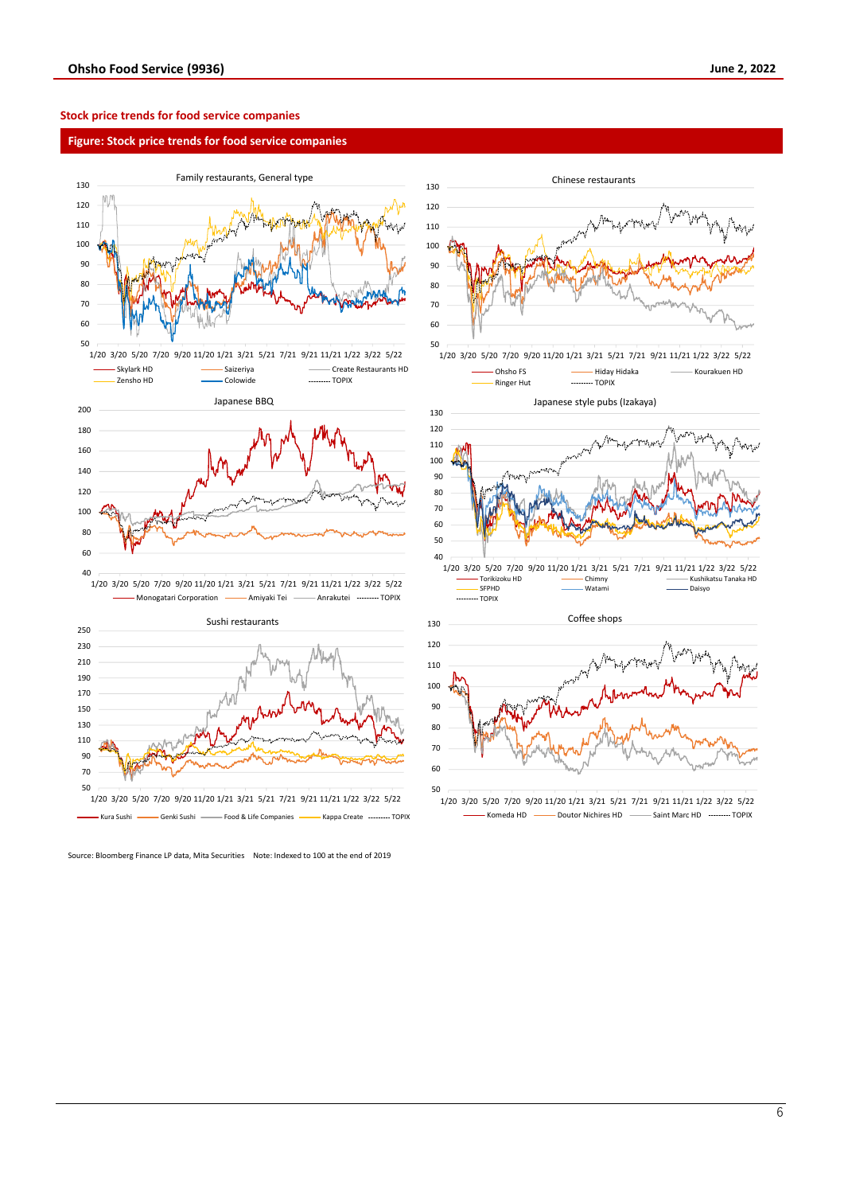#### **Stock price trends for food service companies**

#### **Figure: Stock price trends for food service companies**





Source: Bloomberg Finance LP data, Mita Securities Note: Indexed to 100 at the end of 2019



1/20 3/20 5/20 7/20 9/20 11/20 1/21 3/21 5/21 7/21 9/21 11/21 1/22 3/22 5/22 Ohsho FS Hiday Hidaka Kourakuen HD .......... TOPIX







1/20 3/20 5/20 7/20 9/20 11/20 1/21 3/21 5/21 7/21 9/21 11/21 1/22 3/22 5/22  $-$  Komeda HD  $-$  Doutor Nichires HD  $-$  Saint Marc HD  $-$  TOPIX